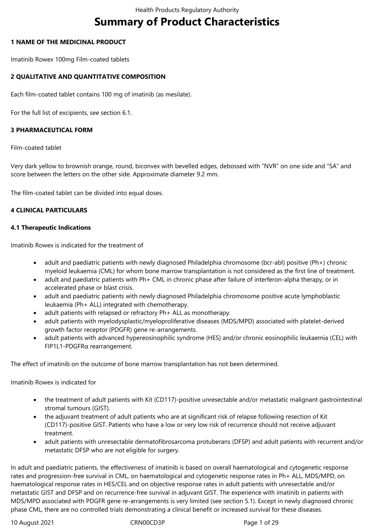# **Summary of Product Characteristics**

## **1 NAME OF THE MEDICINAL PRODUCT**

Imatinib Rowex 100mg Film-coated tablets

## **2 QUALITATIVE AND QUANTITATIVE COMPOSITION**

Each film-coated tablet contains 100 mg of imatinib (as mesilate).

For the full list of excipients, see section 6.1.

## **3 PHARMACEUTICAL FORM**

Film-coated tablet

Very dark yellow to brownish orange, round, biconvex with bevelled edges, debossed with "NVR" on one side and "SA" and score between the letters on the other side. Approximate diameter 9.2 mm.

The film-coated tablet can be divided into equal doses.

## **4 CLINICAL PARTICULARS**

#### **4.1 Therapeutic Indications**

Imatinib Rowex is indicated for the treatment of

- adult and paediatric patients with newly diagnosed Philadelphia chromosome (bcr-abl) positive (Ph+) chronic myeloid leukaemia (CML) for whom bone marrow transplantation is not considered as the first line of treatment.
- adult and paediatric patients with Ph+ CML in chronic phase after failure of interferon-alpha therapy, or in accelerated phase or blast crisis.
- adult and paediatric patients with newly diagnosed Philadelphia chromosome positive acute lymphoblastic leukaemia (Ph+ ALL) integrated with chemotherapy.
- adult patients with relapsed or refractory Ph+ ALL as monotherapy.
- adult patients with myelodysplastic/myeloproliferative diseases (MDS/MPD) associated with platelet-derived growth factor receptor (PDGFR) gene re-arrangements.
- adult patients with advanced hypereosinophilic syndrome (HES) and/or chronic eosinophilic leukaemia (CEL) with FIP1L1-PDGFRα rearrangement.

The effect of imatinib on the outcome of bone marrow transplantation has not been determined.

Imatinib Rowex is indicated for

- the treatment of adult patients with Kit (CD117)-positive unresectable and/or metastatic malignant gastrointestinal stromal tumours (GIST).
- the adjuvant treatment of adult patients who are at significant risk of relapse following resection of Kit (CD117)-positive GIST. Patients who have a low or very low risk of recurrence should not receive adjuvant treatment.
- adult patients with unresectable dermatofibrosarcoma protuberans (DFSP) and adult patients with recurrent and/or metastatic DFSP who are not eligible for surgery.

In adult and paediatric patients, the effectiveness of imatinib is based on overall haematological and cytogenetic response rates and progression-free survival in CML, on haematological and cytogenetic response rates in Ph+ ALL, MDS/MPD, on haematological response rates in HES/CEL and on objective response rates in adult patients with unresectable and/or metastatic GIST and DFSP and on recurrence-free survival in adjuvant GIST. The experience with imatinib in patients with MDS/MPD associated with PDGFR gene re-arrangements is very limited (see section 5.1). Except in newly diagnosed chronic phase CML, there are no controlled trials demonstrating a clinical benefit or increased survival for these diseases.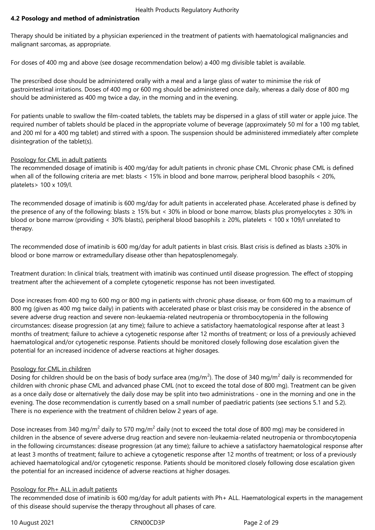## **4.2 Posology and method of administration**

Therapy should be initiated by a physician experienced in the treatment of patients with haematological malignancies and malignant sarcomas, as appropriate.

For doses of 400 mg and above (see dosage recommendation below) a 400 mg divisible tablet is available.

The prescribed dose should be administered orally with a meal and a large glass of water to minimise the risk of gastrointestinal irritations. Doses of 400 mg or 600 mg should be administered once daily, whereas a daily dose of 800 mg should be administered as 400 mg twice a day, in the morning and in the evening.

For patients unable to swallow the film-coated tablets, the tablets may be dispersed in a glass of still water or apple juice. The required number of tablets should be placed in the appropriate volume of beverage (approximately 50 ml for a 100 mg tablet, and 200 ml for a 400 mg tablet) and stirred with a spoon. The suspension should be administered immediately after complete disintegration of the tablet(s).

## Posology for CML in adult patients

The recommended dosage of imatinib is 400 mg/day for adult patients in chronic phase CML. Chronic phase CML is defined when all of the following criteria are met: blasts < 15% in blood and bone marrow, peripheral blood basophils < 20%, platelets> 100 x 109/l.

The recommended dosage of imatinib is 600 mg/day for adult patients in accelerated phase. Accelerated phase is defined by the presence of any of the following: blasts ≥ 15% but < 30% in blood or bone marrow, blasts plus promyelocytes ≥ 30% in blood or bone marrow (providing < 30% blasts), peripheral blood basophils ≥ 20%, platelets < 100 x 109/l unrelated to therapy.

The recommended dose of imatinib is 600 mg/day for adult patients in blast crisis. Blast crisis is defined as blasts ≥30% in blood or bone marrow or extramedullary disease other than hepatosplenomegaly.

Treatment duration: In clinical trials, treatment with imatinib was continued until disease progression. The effect of stopping treatment after the achievement of a complete cytogenetic response has not been investigated.

Dose increases from 400 mg to 600 mg or 800 mg in patients with chronic phase disease, or from 600 mg to a maximum of 800 mg (given as 400 mg twice daily) in patients with accelerated phase or blast crisis may be considered in the absence of severe adverse drug reaction and severe non-leukaemia-related neutropenia or thrombocytopenia in the following circumstances: disease progression (at any time); failure to achieve a satisfactory haematological response after at least 3 months of treatment; failure to achieve a cytogenetic response after 12 months of treatment; or loss of a previously achieved haematological and/or cytogenetic response. Patients should be monitored closely following dose escalation given the potential for an increased incidence of adverse reactions at higher dosages.

## Posology for CML in children

Dosing for children should be on the basis of body surface area (mg/m<sup>2</sup>). The dose of 340 mg/m<sup>2</sup> daily is recommended for children with chronic phase CML and advanced phase CML (not to exceed the total dose of 800 mg). Treatment can be given as a once daily dose or alternatively the daily dose may be split into two administrations - one in the morning and one in the evening. The dose recommendation is currently based on a small number of paediatric patients (see sections 5.1 and 5.2). There is no experience with the treatment of children below 2 years of age.

Dose increases from 340 mg/m<sup>2</sup> daily to 570 mg/m<sup>2</sup> daily (not to exceed the total dose of 800 mg) may be considered in children in the absence of severe adverse drug reaction and severe non-leukaemia-related neutropenia or thrombocytopenia in the following circumstances: disease progression (at any time); failure to achieve a satisfactory haematological response after at least 3 months of treatment; failure to achieve a cytogenetic response after 12 months of treatment; or loss of a previously achieved haematological and/or cytogenetic response. Patients should be monitored closely following dose escalation given the potential for an increased incidence of adverse reactions at higher dosages.

#### Posology for Ph+ ALL in adult patients

The recommended dose of imatinib is 600 mg/day for adult patients with Ph+ ALL. Haematological experts in the management of this disease should supervise the therapy throughout all phases of care.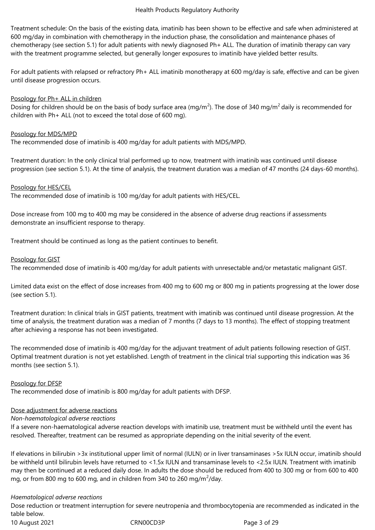Treatment schedule: On the basis of the existing data, imatinib has been shown to be effective and safe when administered at 600 mg/day in combination with chemotherapy in the induction phase, the consolidation and maintenance phases of chemotherapy (see section 5.1) for adult patients with newly diagnosed Ph+ ALL. The duration of imatinib therapy can vary with the treatment programme selected, but generally longer exposures to imatinib have yielded better results.

For adult patients with relapsed or refractory Ph+ ALL imatinib monotherapy at 600 mg/day is safe, effective and can be given until disease progression occurs.

#### Posology for Ph+ ALL in children

Dosing for children should be on the basis of body surface area (mg/m<sup>2</sup>). The dose of 340 mg/m<sup>2</sup> daily is recommended for children with Ph+ ALL (not to exceed the total dose of 600 mg).

## Posology for MDS/MPD

The recommended dose of imatinib is 400 mg/day for adult patients with MDS/MPD.

Treatment duration: In the only clinical trial performed up to now, treatment with imatinib was continued until disease progression (see section 5.1). At the time of analysis, the treatment duration was a median of 47 months (24 days-60 months).

## Posology for HES/CEL

The recommended dose of imatinib is 100 mg/day for adult patients with HES/CEL.

Dose increase from 100 mg to 400 mg may be considered in the absence of adverse drug reactions if assessments demonstrate an insufficient response to therapy.

Treatment should be continued as long as the patient continues to benefit.

## Posology for GIST

The recommended dose of imatinib is 400 mg/day for adult patients with unresectable and/or metastatic malignant GIST.

Limited data exist on the effect of dose increases from 400 mg to 600 mg or 800 mg in patients progressing at the lower dose (see section 5.1).

Treatment duration: In clinical trials in GIST patients, treatment with imatinib was continued until disease progression. At the time of analysis, the treatment duration was a median of 7 months (7 days to 13 months). The effect of stopping treatment after achieving a response has not been investigated.

The recommended dose of imatinib is 400 mg/day for the adjuvant treatment of adult patients following resection of GIST. Optimal treatment duration is not yet established. Length of treatment in the clinical trial supporting this indication was 36 months (see section 5.1).

Posology for DFSP

The recommended dose of imatinib is 800 mg/day for adult patients with DFSP.

## Dose adjustment for adverse reactions

*Non-haematological adverse reactions*

If a severe non-haematological adverse reaction develops with imatinib use, treatment must be withheld until the event has resolved. Thereafter, treatment can be resumed as appropriate depending on the initial severity of the event.

If elevations in bilirubin >3x institutional upper limit of normal (IULN) or in liver transaminases >5x IULN occur, imatinib should be withheld until bilirubin levels have returned to <1.5x IULN and transaminase levels to <2.5x IULN. Treatment with imatinib may then be continued at a reduced daily dose. In adults the dose should be reduced from 400 to 300 mg or from 600 to 400 mg, or from 800 mg to 600 mg, and in children from 340 to 260 mg/m $^2$ /day.

#### *Haematological adverse reactions*

10 August 2021 **CRN00CD3P** Page 3 of 29 Dose reduction or treatment interruption for severe neutropenia and thrombocytopenia are recommended as indicated in the table below.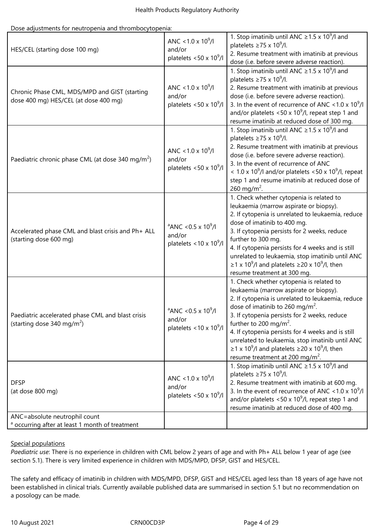Dose adjustments for neutropenia and thrombocytopenia:

| HES/CEL (starting dose 100 mg)                                                              | ANC < 1.0 x $10^9$ /l<br>and/or<br>platelets <50 x $10^9$ /l                           | 1. Stop imatinib until ANC $\geq$ 1.5 x 10 <sup>9</sup> /l and<br>platelets $\geq$ 75 x 10 <sup>9</sup> /l.<br>2. Resume treatment with imatinib at previous<br>dose (i.e. before severe adverse reaction).                                                                                                                                                                                                                                                                                                             |
|---------------------------------------------------------------------------------------------|----------------------------------------------------------------------------------------|-------------------------------------------------------------------------------------------------------------------------------------------------------------------------------------------------------------------------------------------------------------------------------------------------------------------------------------------------------------------------------------------------------------------------------------------------------------------------------------------------------------------------|
| Chronic Phase CML, MDS/MPD and GIST (starting<br>dose 400 mg) HES/CEL (at dose 400 mg)      | ANC < 1.0 x $10^9$ /l<br>and/or<br>platelets <50 x $10^9$ /l                           | 1. Stop imatinib until ANC $\geq$ 1.5 x 10 <sup>9</sup> /l and<br>platelets $\geq$ 75 x 10 <sup>9</sup> /l.<br>2. Resume treatment with imatinib at previous<br>dose (i.e. before severe adverse reaction).<br>3. In the event of recurrence of ANC < 1.0 x $10^9$ /l<br>and/or platelets <50 x $10^9$ /l, repeat step 1 and<br>resume imatinib at reduced dose of 300 mg.                                                                                                                                              |
| Paediatric chronic phase CML (at dose 340 mg/m <sup>2</sup> )                               | ANC < 1.0 x $10^9$ /l<br>and/or<br>platelets <50 x $10^9$ /l                           | 1. Stop imatinib until ANC $\geq$ 1.5 x 10 <sup>9</sup> /l and<br>platelets $\geq$ 75 x 10 <sup>9</sup> /l.<br>2. Resume treatment with imatinib at previous<br>dose (i.e. before severe adverse reaction).<br>3. In the event of recurrence of ANC<br>$<$ 1.0 x 10 <sup>9</sup> /l and/or platelets $<$ 50 x 10 <sup>9</sup> /l, repeat<br>step 1 and resume imatinib at reduced dose of<br>260 mg/m <sup>2</sup> .                                                                                                    |
| Accelerated phase CML and blast crisis and Ph+ ALL<br>(starting dose 600 mg)                | $^{\circ}$ ANC < 0.5 x 10 <sup>9</sup> /l<br>and/or<br>platelets < $10 \times 10^9$ /l | 1. Check whether cytopenia is related to<br>leukaemia (marrow aspirate or biopsy).<br>2. If cytopenia is unrelated to leukaemia, reduce<br>dose of imatinib to 400 mg.<br>3. If cytopenia persists for 2 weeks, reduce<br>further to 300 mg.<br>4. If cytopenia persists for 4 weeks and is still<br>unrelated to leukaemia, stop imatinib until ANC<br>$\geq$ 1 x 10 <sup>9</sup> /l and platelets $\geq$ 20 x 10 <sup>9</sup> /l, then<br>resume treatment at 300 mg.                                                 |
| Paediatric accelerated phase CML and blast crisis<br>(starting dose 340 mg/m <sup>2</sup> ) | $^{\circ}$ ANC < 0.5 x 10 <sup>9</sup> /l<br>and/or<br>platelets < $10 \times 10^9$ /l | 1. Check whether cytopenia is related to<br>leukaemia (marrow aspirate or biopsy).<br>2. If cytopenia is unrelated to leukaemia, reduce<br>dose of imatinib to 260 mg/m <sup>2</sup> .<br>3. If cytopenia persists for 2 weeks, reduce<br>further to 200 mg/m <sup>2</sup> .<br>4. If cytopenia persists for 4 weeks and is still<br>unrelated to leukaemia, stop imatinib until ANC<br>$\geq$ 1 x 10 <sup>9</sup> /l and platelets $\geq$ 20 x 10 <sup>9</sup> /l, then<br>resume treatment at 200 mg/m <sup>2</sup> . |
| <b>DFSP</b><br>(at dose 800 mg)                                                             | ANC < 1.0 x $10^9$ /l<br>and/or<br>platelets <50 x $10^9$ /l                           | 1. Stop imatinib until ANC $\geq$ 1.5 x 10 <sup>9</sup> /l and<br>platelets $\geq$ 75 x 10 <sup>9</sup> /l.<br>2. Resume treatment with imatinib at 600 mg.<br>3. In the event of recurrence of ANC < 1.0 x $10^9$ /l<br>and/or platelets <50 x $10^9$ /l, repeat step 1 and<br>resume imatinib at reduced dose of 400 mg.                                                                                                                                                                                              |
| ANC=absolute neutrophil count<br><sup>a</sup> occurring after at least 1 month of treatment |                                                                                        |                                                                                                                                                                                                                                                                                                                                                                                                                                                                                                                         |

## Special populations

*Paediatric use*: There is no experience in children with CML below 2 years of age and with Ph+ ALL below 1 year of age (see section 5.1). There is very limited experience in children with MDS/MPD, DFSP, GIST and HES/CEL.

The safety and efficacy of imatinib in children with MDS/MPD, DFSP, GIST and HES/CEL aged less than 18 years of age have not been established in clinical trials. Currently available published data are summarised in section 5.1 but no recommendation on a posology can be made.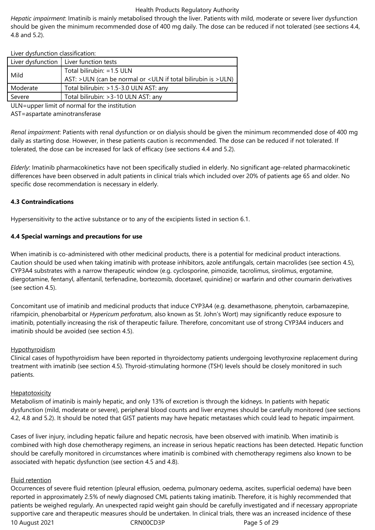*Hepatic impairment*: Imatinib is mainly metabolised through the liver. Patients with mild, moderate or severe liver dysfunction should be given the minimum recommended dose of 400 mg daily. The dose can be reduced if not tolerated (see sections 4.4, 4.8 and 5.2).

Liver dysfunction classification:

|          | Liver dysfunction $\vert$ Liver function tests                                |
|----------|-------------------------------------------------------------------------------|
| Mild     | Total bilirubin: =1.5 ULN                                                     |
|          | AST: >ULN (can be normal or <uln bilirubin="" if="" is="" total="">ULN)</uln> |
| Moderate | Total bilirubin: > 1.5-3.0 ULN AST: any                                       |
| Severe   | Total bilirubin: > 3-10 ULN AST: any                                          |

ULN=upper limit of normal for the institution

AST=aspartate aminotransferase

*Renal impairment*: Patients with renal dysfunction or on dialysis should be given the minimum recommended dose of 400 mg daily as starting dose. However, in these patients caution is recommended. The dose can be reduced if not tolerated. If tolerated, the dose can be increased for lack of efficacy (see sections 4.4 and 5.2).

*Elderly*: Imatinib pharmacokinetics have not been specifically studied in elderly. No significant age-related pharmacokinetic differences have been observed in adult patients in clinical trials which included over 20% of patients age 65 and older. No specific dose recommendation is necessary in elderly.

#### **4.3 Contraindications**

Hypersensitivity to the active substance or to any of the excipients listed in section 6.1.

#### **4.4 Special warnings and precautions for use**

When imatinib is co-administered with other medicinal products, there is a potential for medicinal product interactions. Caution should be used when taking imatinib with protease inhibitors, azole antifungals, certain macrolides (see section 4.5), CYP3A4 substrates with a narrow therapeutic window (e.g. cyclosporine, pimozide, tacrolimus, sirolimus, ergotamine, diergotamine, fentanyl, alfentanil, terfenadine, bortezomib, docetaxel, quinidine) or warfarin and other coumarin derivatives (see section 4.5).

Concomitant use of imatinib and medicinal products that induce CYP3A4 (e.g. dexamethasone, phenytoin, carbamazepine, rifampicin, phenobarbital or *Hypericum perforatum*, also known as St. John's Wort) may significantly reduce exposure to imatinib, potentially increasing the risk of therapeutic failure. Therefore, concomitant use of strong CYP3A4 inducers and imatinib should be avoided (see section 4.5).

#### Hypothyroidism

Clinical cases of hypothyroidism have been reported in thyroidectomy patients undergoing levothyroxine replacement during treatment with imatinib (see section 4.5). Thyroid-stimulating hormone (TSH) levels should be closely monitored in such patients.

#### **Hepatotoxicity**

Metabolism of imatinib is mainly hepatic, and only 13% of excretion is through the kidneys. In patients with hepatic dysfunction (mild, moderate or severe), peripheral blood counts and liver enzymes should be carefully monitored (see sections 4.2, 4.8 and 5.2). It should be noted that GIST patients may have hepatic metastases which could lead to hepatic impairment.

Cases of liver injury, including hepatic failure and hepatic necrosis, have been observed with imatinib. When imatinib is combined with high dose chemotherapy regimens, an increase in serious hepatic reactions has been detected. Hepatic function should be carefully monitored in circumstances where imatinib is combined with chemotherapy regimens also known to be associated with hepatic dysfunction (see section 4.5 and 4.8).

#### Fluid retention

10 August 2021 **CRNOOCD3P** Page 5 of 29 Occurrences of severe fluid retention (pleural effusion, oedema, pulmonary oedema, ascites, superficial oedema) have been reported in approximately 2.5% of newly diagnosed CML patients taking imatinib. Therefore, it is highly recommended that patients be weighed regularly. An unexpected rapid weight gain should be carefully investigated and if necessary appropriate supportive care and therapeutic measures should be undertaken. In clinical trials, there was an increased incidence of these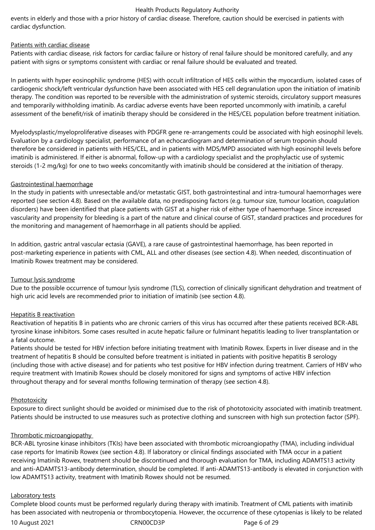events in elderly and those with a prior history of cardiac disease. Therefore, caution should be exercised in patients with cardiac dysfunction.

#### Patients with cardiac disease

Patients with cardiac disease, risk factors for cardiac failure or history of renal failure should be monitored carefully, and any patient with signs or symptoms consistent with cardiac or renal failure should be evaluated and treated.

In patients with hyper eosinophilic syndrome (HES) with occult infiltration of HES cells within the myocardium, isolated cases of cardiogenic shock/left ventricular dysfunction have been associated with HES cell degranulation upon the initiation of imatinib therapy. The condition was reported to be reversible with the administration of systemic steroids, circulatory support measures and temporarily withholding imatinib. As cardiac adverse events have been reported uncommonly with imatinib, a careful assessment of the benefit/risk of imatinib therapy should be considered in the HES/CEL population before treatment initiation.

Myelodysplastic/myeloproliferative diseases with PDGFR gene re-arrangements could be associated with high eosinophil levels. Evaluation by a cardiology specialist, performance of an echocardiogram and determination of serum troponin should therefore be considered in patients with HES/CEL, and in patients with MDS/MPD associated with high eosinophil levels before imatinib is administered. If either is abnormal, follow-up with a cardiology specialist and the prophylactic use of systemic steroids (1-2 mg/kg) for one to two weeks concomitantly with imatinib should be considered at the initiation of therapy.

## Gastrointestinal haemorrhage

In the study in patients with unresectable and/or metastatic GIST, both gastrointestinal and intra-tumoural haemorrhages were reported (see section 4.8). Based on the available data, no predisposing factors (e.g. tumour size, tumour location, coagulation disorders) have been identified that place patients with GIST at a higher risk of either type of haemorrhage. Since increased vascularity and propensity for bleeding is a part of the nature and clinical course of GIST, standard practices and procedures for the monitoring and management of haemorrhage in all patients should be applied.

In addition, gastric antral vascular ectasia (GAVE), a rare cause of gastrointestinal haemorrhage, has been reported in post-marketing experience in patients with CML, ALL and other diseases (see section 4.8). When needed, discontinuation of Imatinib Rowex treatment may be considered.

#### Tumour lysis syndrome

Due to the possible occurrence of tumour lysis syndrome (TLS), correction of clinically significant dehydration and treatment of high uric acid levels are recommended prior to initiation of imatinib (see section 4.8).

## Hepatitis B reactivation

Reactivation of hepatitis B in patients who are chronic carriers of this virus has occurred after these patients received BCR-ABL tyrosine kinase inhibitors. Some cases resulted in acute hepatic failure or fulminant hepatitis leading to liver transplantation or a fatal outcome.

Patients should be tested for HBV infection before initiating treatment with Imatinib Rowex. Experts in liver disease and in the treatment of hepatitis B should be consulted before treatment is initiated in patients with positive hepatitis B serology (including those with active disease) and for patients who test positive for HBV infection during treatment. Carriers of HBV who require treatment with Imatinib Rowex should be closely monitored for signs and symptoms of active HBV infection throughout therapy and for several months following termination of therapy (see section 4.8).

#### **Phototoxicity**

Exposure to direct sunlight should be avoided or minimised due to the risk of phototoxicity associated with imatinib treatment. Patients should be instructed to use measures such as protective clothing and sunscreen with high sun protection factor (SPF).

## Thrombotic microangiopathy

BCR-ABL tyrosine kinase inhibitors (TKIs) have been associated with thrombotic microangiopathy (TMA), including individual case reports for Imatinib Rowex (see section 4.8). If laboratory or clinical findings associated with TMA occur in a patient receiving Imatinib Rowex, treatment should be discontinued and thorough evaluation for TMA, including ADAMTS13 activity and anti-ADAMTS13-antibody determination, should be completed. If anti-ADAMTS13-antibody is elevated in conjunction with low ADAMTS13 activity, treatment with Imatinib Rowex should not be resumed.

#### Laboratory tests

Complete blood counts must be performed regularly during therapy with imatinib. Treatment of CML patients with imatinib has been associated with neutropenia or thrombocytopenia. However, the occurrence of these cytopenias is likely to be related

10 August 2021 **CRN00CD3P** Page 6 of 29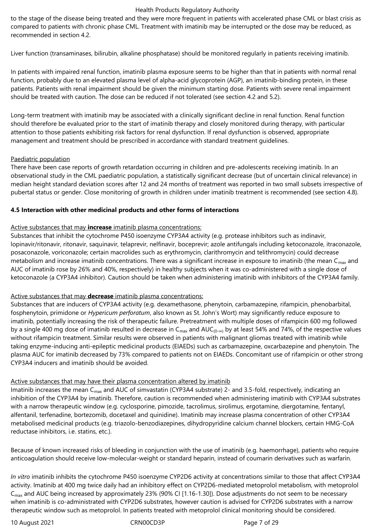to the stage of the disease being treated and they were more frequent in patients with accelerated phase CML or blast crisis as compared to patients with chronic phase CML. Treatment with imatinib may be interrupted or the dose may be reduced, as recommended in section 4.2.

Liver function (transaminases, bilirubin, alkaline phosphatase) should be monitored regularly in patients receiving imatinib.

In patients with impaired renal function, imatinib plasma exposure seems to be higher than that in patients with normal renal function, probably due to an elevated plasma level of alpha-acid glycoprotein (AGP), an imatinib-binding protein, in these patients. Patients with renal impairment should be given the minimum starting dose. Patients with severe renal impairment should be treated with caution. The dose can be reduced if not tolerated (see section 4.2 and 5.2).

Long-term treatment with imatinib may be associated with a clinically significant decline in renal function. Renal function should therefore be evaluated prior to the start of imatinib therapy and closely monitored during therapy, with particular attention to those patients exhibiting risk factors for renal dysfunction. If renal dysfunction is observed, appropriate management and treatment should be prescribed in accordance with standard treatment guidelines.

## Paediatric population

There have been case reports of growth retardation occurring in children and pre-adolescents receiving imatinib. In an observational study in the CML paediatric population, a statistically significant decrease (but of uncertain clinical relevance) in median height standard deviation scores after 12 and 24 months of treatment was reported in two small subsets irrespective of pubertal status or gender. Close monitoring of growth in children under imatinib treatment is recommended (see section 4.8).

## **4.5 Interaction with other medicinal products and other forms of interactions**

## Active substances that may **increase** imatinib plasma concentrations:

Substances that inhibit the cytochrome P450 isoenzyme CYP3A4 activity (e.g. protease inhibitors such as indinavir, lopinavir/ritonavir, ritonavir, saquinavir, telaprevir, nelfinavir, boceprevir; azole antifungals including ketoconazole, itraconazole, posaconazole, voriconazole; certain macrolides such as erythromycin, clarithromycin and telithromycin) could decrease metabolism and increase imatinib concentrations. There was a significant increase in exposure to imatinib (the mean  $C_{\text{max}}$  and AUC of imatinib rose by 26% and 40%, respectively) in healthy subjects when it was co-administered with a single dose of ketoconazole (a CYP3A4 inhibitor). Caution should be taken when administering imatinib with inhibitors of the CYP3A4 family.

## Active substances that may **decrease** imatinib plasma concentrations:

Substances that are inducers of CYP3A4 activity (e.g. dexamethasone, phenytoin, carbamazepine, rifampicin, phenobarbital, fosphenytoin, primidone or *Hypericum perforatum*, also known as St. John's Wort) may significantly reduce exposure to imatinib, potentially increasing the risk of therapeutic failure. Pretreatment with multiple doses of rifampicin 600 mg followed by a single 400 mg dose of imatinib resulted in decrease in C<sub>max</sub> and AUC<sub>(0-∞)</sub> by at least 54% and 74%, of the respective values without rifampicin treatment. Similar results were observed in patients with malignant gliomas treated with imatinib while taking enzyme-inducing anti-epileptic medicinal products (EIAEDs) such as carbamazepine, oxcarbazepine and phenytoin. The plasma AUC for imatinib decreased by 73% compared to patients not on EIAEDs. Concomitant use of rifampicin or other strong CYP3A4 inducers and imatinib should be avoided.

## Active substances that may have their plasma concentration altered by imatinib

Imatinib increases the mean  $C_{\text{max}}$  and AUC of simvastatin (CYP3A4 substrate) 2- and 3.5-fold, respectively, indicating an inhibition of the CYP3A4 by imatinib. Therefore, caution is recommended when administering imatinib with CYP3A4 substrates with a narrow therapeutic window (e.g. cyclosporine, pimozide, tacrolimus, sirolimus, ergotamine, diergotamine, fentanyl, alfentanil, terfenadine, bortezomib, docetaxel and quinidine). Imatinib may increase plasma concentration of other CYP3A4 metabolised medicinal products (e.g. triazolo-benzodiazepines, dihydropyridine calcium channel blockers, certain HMG-CoA reductase inhibitors, i.e. statins, etc.).

Because of known increased risks of bleeding in conjunction with the use of imatinib (e.g. haemorrhage), patients who require anticoagulation should receive low-molecular-weight or standard heparin, instead of coumarin derivatives such as warfarin.

*In vitro* imatinib inhibits the cytochrome P450 isoenzyme CYP2D6 activity at concentrations similar to those that affect CYP3A4 activity. Imatinib at 400 mg twice daily had an inhibitory effect on CYP2D6-mediated metoprolol metabolism, with metoprolol C<sub>max</sub> and AUC being increased by approximately 23% (90% CI [1.16-1.30]). Dose adjustments do not seem to be necessary when imatinib is co-administrated with CYP2D6 substrates, however caution is advised for CYP2D6 substrates with a narrow therapeutic window such as metoprolol. In patients treated with metoprolol clinical monitoring should be considered.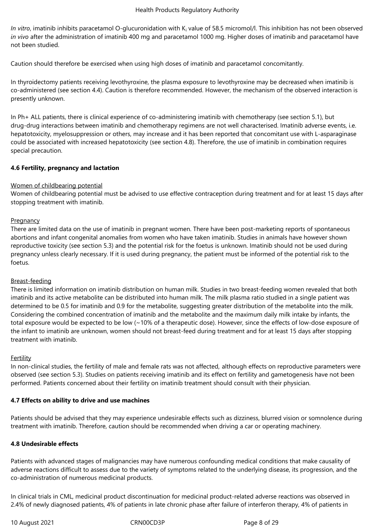In vitro, imatinib inhibits paracetamol O-glucuronidation with K<sub>i</sub> value of 58.5 micromol/l. This inhibition has not been observed *in vivo* after the administration of imatinib 400 mg and paracetamol 1000 mg. Higher doses of imatinib and paracetamol have not been studied.

Caution should therefore be exercised when using high doses of imatinib and paracetamol concomitantly.

In thyroidectomy patients receiving levothyroxine, the plasma exposure to levothyroxine may be decreased when imatinib is co-administered (see section 4.4). Caution is therefore recommended. However, the mechanism of the observed interaction is presently unknown.

In Ph+ ALL patients, there is clinical experience of co-administering imatinib with chemotherapy (see section 5.1), but drug-drug interactions between imatinib and chemotherapy regimens are not well characterised. Imatinib adverse events, i.e. hepatotoxicity, myelosuppression or others, may increase and it has been reported that concomitant use with L-asparaginase could be associated with increased hepatotoxicity (see section 4.8). Therefore, the use of imatinib in combination requires special precaution.

## **4.6 Fertility, pregnancy and lactation**

## Women of childbearing potential

Women of childbearing potential must be advised to use effective contraception during treatment and for at least 15 days after stopping treatment with imatinib.

#### **Pregnancy**

There are limited data on the use of imatinib in pregnant women. There have been post-marketing reports of spontaneous abortions and infant congenital anomalies from women who have taken imatinib. Studies in animals have however shown reproductive toxicity (see section 5.3) and the potential risk for the foetus is unknown. Imatinib should not be used during pregnancy unless clearly necessary. If it is used during pregnancy, the patient must be informed of the potential risk to the foetus.

## Breast-feeding

There is limited information on imatinib distribution on human milk. Studies in two breast-feeding women revealed that both imatinib and its active metabolite can be distributed into human milk. The milk plasma ratio studied in a single patient was determined to be 0.5 for imatinib and 0.9 for the metabolite, suggesting greater distribution of the metabolite into the milk. Considering the combined concentration of imatinib and the metabolite and the maximum daily milk intake by infants, the total exposure would be expected to be low (~10% of a therapeutic dose). However, since the effects of low-dose exposure of the infant to imatinib are unknown, women should not breast-feed during treatment and for at least 15 days after stopping treatment with imatinib.

#### Fertility

In non-clinical studies, the fertility of male and female rats was not affected, although effects on reproductive parameters were observed (see section 5.3). Studies on patients receiving imatinib and its effect on fertility and gametogenesis have not been performed. Patients concerned about their fertility on imatinib treatment should consult with their physician.

#### **4.7 Effects on ability to drive and use machines**

Patients should be advised that they may experience undesirable effects such as dizziness, blurred vision or somnolence during treatment with imatinib. Therefore, caution should be recommended when driving a car or operating machinery.

#### **4.8 Undesirable effects**

Patients with advanced stages of malignancies may have numerous confounding medical conditions that make causality of adverse reactions difficult to assess due to the variety of symptoms related to the underlying disease, its progression, and the co-administration of numerous medicinal products.

In clinical trials in CML, medicinal product discontinuation for medicinal product-related adverse reactions was observed in 2.4% of newly diagnosed patients, 4% of patients in late chronic phase after failure of interferon therapy, 4% of patients in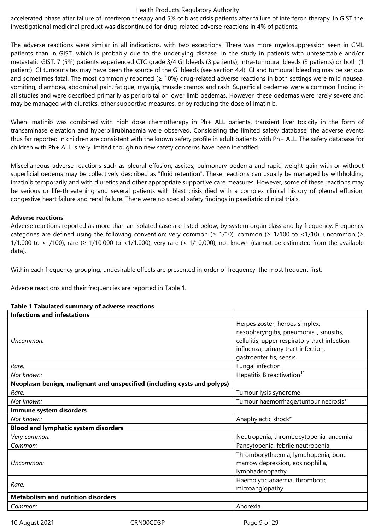accelerated phase after failure of interferon therapy and 5% of blast crisis patients after failure of interferon therapy. In GIST the investigational medicinal product was discontinued for drug-related adverse reactions in 4% of patients.

The adverse reactions were similar in all indications, with two exceptions. There was more myelosuppression seen in CML patients than in GIST, which is probably due to the underlying disease. In the study in patients with unresectable and/or metastatic GIST, 7 (5%) patients experienced CTC grade 3/4 GI bleeds (3 patients), intra-tumoural bleeds (3 patients) or both (1 patient). GI tumour sites may have been the source of the GI bleeds (see section 4.4). GI and tumoural bleeding may be serious and sometimes fatal. The most commonly reported  $(≥ 10%)$  drug-related adverse reactions in both settings were mild nausea, vomiting, diarrhoea, abdominal pain, fatigue, myalgia, muscle cramps and rash. Superficial oedemas were a common finding in all studies and were described primarily as periorbital or lower limb oedemas. However, these oedemas were rarely severe and may be managed with diuretics, other supportive measures, or by reducing the dose of imatinib.

When imatinib was combined with high dose chemotherapy in Ph+ ALL patients, transient liver toxicity in the form of transaminase elevation and hyperbilirubinaemia were observed. Considering the limited safety database, the adverse events thus far reported in children are consistent with the known safety profile in adult patients with Ph+ ALL. The safety database for children with Ph+ ALL is very limited though no new safety concerns have been identified.

Miscellaneous adverse reactions such as pleural effusion, ascites, pulmonary oedema and rapid weight gain with or without superficial oedema may be collectively described as "fluid retention". These reactions can usually be managed by withholding imatinib temporarily and with diuretics and other appropriate supportive care measures. However, some of these reactions may be serious or life-threatening and several patients with blast crisis died with a complex clinical history of pleural effusion, congestive heart failure and renal failure. There were no special safety findings in paediatric clinical trials.

#### **Adverse reactions**

Adverse reactions reported as more than an isolated case are listed below, by system organ class and by frequency. Frequency categories are defined using the following convention: very common ( $\geq 1/10$ ), common ( $\geq 1/100$  to <1/10), uncommon ( $\geq$ 1/1,000 to <1/100), rare ( $\geq 1/10,000$  to <1/1,000), very rare (< 1/10,000), not known (cannot be estimated from the available data).

Within each frequency grouping, undesirable effects are presented in order of frequency, the most frequent first.

Adverse reactions and their frequencies are reported in Table 1.

| rapic + rapalated summary or adverse reactions                          |                                                                                                                                                                                                            |
|-------------------------------------------------------------------------|------------------------------------------------------------------------------------------------------------------------------------------------------------------------------------------------------------|
| <b>Infections and infestations</b>                                      |                                                                                                                                                                                                            |
| Uncommon:                                                               | Herpes zoster, herpes simplex,<br>nasopharyngitis, pneumonia <sup>1</sup> , sinusitis,<br>cellulitis, upper respiratory tract infection,<br>influenza, urinary tract infection,<br>gastroenteritis, sepsis |
| Rare:                                                                   | Fungal infection                                                                                                                                                                                           |
| Not known:                                                              | Hepatitis B reactivation <sup>11</sup>                                                                                                                                                                     |
| Neoplasm benign, malignant and unspecified (including cysts and polyps) |                                                                                                                                                                                                            |
| Rare:                                                                   | Tumour lysis syndrome                                                                                                                                                                                      |
| Not known:                                                              | Tumour haemorrhage/tumour necrosis*                                                                                                                                                                        |
| Immune system disorders                                                 |                                                                                                                                                                                                            |
| Not known:                                                              | Anaphylactic shock*                                                                                                                                                                                        |
| <b>Blood and lymphatic system disorders</b>                             |                                                                                                                                                                                                            |
| Very common:                                                            | Neutropenia, thrombocytopenia, anaemia                                                                                                                                                                     |
| Common:                                                                 | Pancytopenia, febrile neutropenia                                                                                                                                                                          |
| Uncommon:                                                               | Thrombocythaemia, lymphopenia, bone<br>marrow depression, eosinophilia,<br>lymphadenopathy                                                                                                                 |
| Rare:                                                                   | Haemolytic anaemia, thrombotic<br>microangiopathy                                                                                                                                                          |
| <b>Metabolism and nutrition disorders</b>                               |                                                                                                                                                                                                            |
| Common:                                                                 | Anorexia                                                                                                                                                                                                   |

# **Table 1 Tabulated summary of adverse reactions**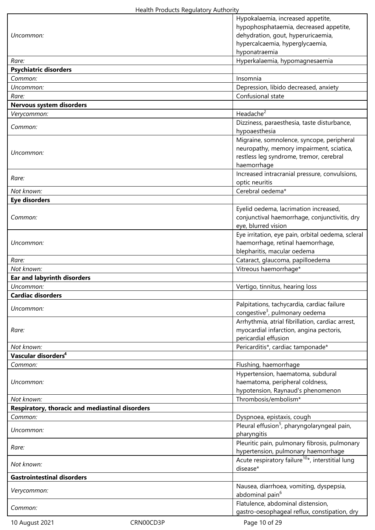|                                                 |           | Hypokalaemia, increased appetite,                                                              |
|-------------------------------------------------|-----------|------------------------------------------------------------------------------------------------|
|                                                 |           | hypophosphataemia, decreased appetite,                                                         |
| Uncommon:                                       |           | dehydration, gout, hyperuricaemia,                                                             |
|                                                 |           | hypercalcaemia, hyperglycaemia,<br>hyponatraemia                                               |
| Rare:                                           |           | Hyperkalaemia, hypomagnesaemia                                                                 |
| <b>Psychiatric disorders</b>                    |           |                                                                                                |
| Common:                                         |           | Insomnia                                                                                       |
| Uncommon:                                       |           | Depression, libido decreased, anxiety                                                          |
| Rare:                                           |           | Confusional state                                                                              |
| Nervous system disorders                        |           |                                                                                                |
| Verycommon:                                     |           | Headache <sup>2</sup>                                                                          |
| Common:                                         |           | Dizziness, paraesthesia, taste disturbance,                                                    |
|                                                 |           | hypoaesthesia                                                                                  |
|                                                 |           | Migraine, somnolence, syncope, peripheral<br>neuropathy, memory impairment, sciatica,          |
| Uncommon:                                       |           | restless leg syndrome, tremor, cerebral                                                        |
|                                                 |           | haemorrhage                                                                                    |
|                                                 |           | Increased intracranial pressure, convulsions,                                                  |
| Rare:                                           |           | optic neuritis                                                                                 |
| Not known:                                      |           | Cerebral oedema*                                                                               |
| <b>Eye disorders</b>                            |           |                                                                                                |
|                                                 |           | Eyelid oedema, lacrimation increased,                                                          |
| Common:                                         |           | conjunctival haemorrhage, conjunctivitis, dry                                                  |
|                                                 |           | eye, blurred vision                                                                            |
|                                                 |           | Eye irritation, eye pain, orbital oedema, scleral                                              |
| Uncommon:                                       |           | haemorrhage, retinal haemorrhage,                                                              |
|                                                 |           | blepharitis, macular oedema                                                                    |
| Rare:                                           |           | Cataract, glaucoma, papilloedema                                                               |
| Not known:                                      |           | Vitreous haemorrhage*                                                                          |
|                                                 |           |                                                                                                |
| <b>Ear and labyrinth disorders</b>              |           |                                                                                                |
| Uncommon:                                       |           | Vertigo, tinnitus, hearing loss                                                                |
| <b>Cardiac disorders</b>                        |           |                                                                                                |
| Uncommon:                                       |           | Palpitations, tachycardia, cardiac failure                                                     |
|                                                 |           | congestive <sup>3</sup> , pulmonary oedema<br>Arrhythmia, atrial fibrillation, cardiac arrest, |
| Rare:                                           |           | myocardial infarction, angina pectoris,                                                        |
|                                                 |           | pericardial effusion                                                                           |
| Not known:                                      |           | Pericarditis*, cardiac tamponade*                                                              |
| Vascular disorders <sup>4</sup>                 |           |                                                                                                |
| Common:                                         |           | Flushing, haemorrhage                                                                          |
|                                                 |           | Hypertension, haematoma, subdural                                                              |
| Uncommon:                                       |           | haematoma, peripheral coldness,                                                                |
|                                                 |           | hypotension, Raynaud's phenomenon                                                              |
| Not known:                                      |           | Thrombosis/embolism*                                                                           |
| Respiratory, thoracic and mediastinal disorders |           |                                                                                                |
| Common:                                         |           | Dyspnoea, epistaxis, cough                                                                     |
| Uncommon:                                       |           | Pleural effusion <sup>5</sup> , pharyngolaryngeal pain,                                        |
|                                                 |           | pharyngitis                                                                                    |
| Rare:                                           |           | Pleuritic pain, pulmonary fibrosis, pulmonary                                                  |
|                                                 |           | hypertension, pulmonary haemorrhage                                                            |
| Not known:                                      |           | Acute respiratory failure <sup>10*</sup> , interstitial lung<br>disease*                       |
| <b>Gastrointestinal disorders</b>               |           |                                                                                                |
|                                                 |           | Nausea, diarrhoea, vomiting, dyspepsia,                                                        |
| Verycommon:                                     |           | abdominal pain <sup>6</sup>                                                                    |
| Common:                                         |           | Flatulence, abdominal distension,                                                              |
|                                                 | CRN00CD3P | gastro-oesophageal reflux, constipation, dry<br>Page 10 of 29                                  |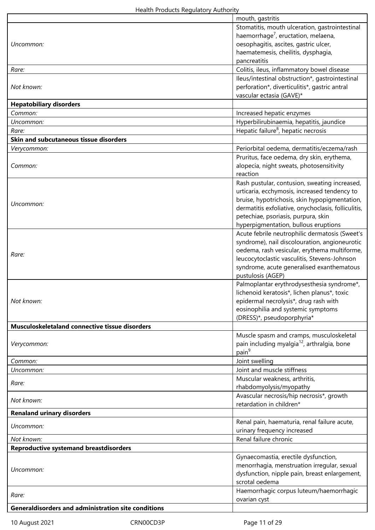|                                                            | mouth, gastritis                                                |
|------------------------------------------------------------|-----------------------------------------------------------------|
|                                                            | Stomatitis, mouth ulceration, gastrointestinal                  |
|                                                            | haemorrhage <sup>7</sup> , eructation, melaena,                 |
| Uncommon:                                                  | oesophagitis, ascites, gastric ulcer,                           |
|                                                            | haematemesis, cheilitis, dysphagia,                             |
|                                                            | pancreatitis                                                    |
| Rare:                                                      | Colitis, ileus, inflammatory bowel disease                      |
|                                                            | lleus/intestinal obstruction*, gastrointestinal                 |
| Not known:                                                 | perforation*, diverticulitis*, gastric antral                   |
|                                                            | vascular ectasia (GAVE)*                                        |
| <b>Hepatobiliary disorders</b>                             |                                                                 |
| Common:                                                    | Increased hepatic enzymes                                       |
| Uncommon:                                                  | Hyperbilirubinaemia, hepatitis, jaundice                        |
| Rare:                                                      | Hepatic failure <sup>8</sup> , hepatic necrosis                 |
| Skin and subcutaneous tissue disorders                     |                                                                 |
| Verycommon:                                                | Periorbital oedema, dermatitis/eczema/rash                      |
|                                                            | Pruritus, face oedema, dry skin, erythema,                      |
| Common:                                                    | alopecia, night sweats, photosensitivity                        |
|                                                            | reaction                                                        |
|                                                            | Rash pustular, contusion, sweating increased,                   |
|                                                            | urticaria, ecchymosis, increased tendency to                    |
|                                                            | bruise, hypotrichosis, skin hypopigmentation,                   |
| Uncommon:                                                  | dermatitis exfoliative, onychoclasis, folliculitis,             |
|                                                            | petechiae, psoriasis, purpura, skin                             |
|                                                            | hyperpigmentation, bullous eruptions                            |
|                                                            | Acute febrile neutrophilic dermatosis (Sweet's                  |
|                                                            | syndrome), nail discolouration, angioneurotic                   |
|                                                            | oedema, rash vesicular, erythema multiforme,                    |
| Rare:                                                      | leucocytoclastic vasculitis, Stevens-Johnson                    |
|                                                            | syndrome, acute generalised exanthematous                       |
|                                                            | pustulosis (AGEP)                                               |
|                                                            | Palmoplantar erythrodysesthesia syndrome*,                      |
|                                                            | lichenoid keratosis*, lichen planus*, toxic                     |
| Not known:                                                 | epidermal necrolysis*, drug rash with                           |
|                                                            | eosinophilia and systemic symptoms                              |
|                                                            | (DRESS)*, pseudoporphyria*                                      |
| Musculoskeletaland connective tissue disorders             |                                                                 |
|                                                            | Muscle spasm and cramps, musculoskeletal                        |
| Verycommon:                                                | pain including myalgia <sup>12</sup> , arthralgia, bone         |
|                                                            | pain <sup>9</sup>                                               |
| Common:                                                    | Joint swelling                                                  |
| Uncommon:                                                  | Joint and muscle stiffness                                      |
|                                                            | Muscular weakness, arthritis,                                   |
| Rare:                                                      | rhabdomyolysis/myopathy                                         |
|                                                            | Avascular necrosis/hip necrosis*, growth                        |
| Not known:                                                 | retardation in children*                                        |
| <b>Renaland urinary disorders</b>                          |                                                                 |
|                                                            | Renal pain, haematuria, renal failure acute,                    |
| Uncommon:                                                  | urinary frequency increased                                     |
| Not known:                                                 | Renal failure chronic                                           |
| <b>Reproductive systemand breastdisorders</b>              |                                                                 |
|                                                            |                                                                 |
|                                                            | Gynaecomastia, erectile dysfunction,                            |
| Uncommon:                                                  | menorrhagia, menstruation irregular, sexual                     |
|                                                            | dysfunction, nipple pain, breast enlargement,<br>scrotal oedema |
|                                                            |                                                                 |
| Rare:                                                      | Haemorrhagic corpus luteum/haemorrhagic                         |
|                                                            | ovarian cyst                                                    |
| <b>Generaldisorders and administration site conditions</b> |                                                                 |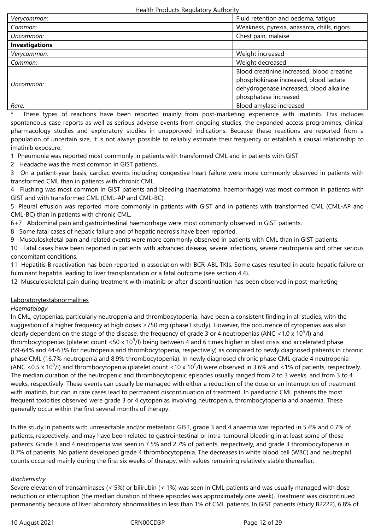| Verycommon:           | Fluid retention and oedema, fatique                                                                                                                      |  |
|-----------------------|----------------------------------------------------------------------------------------------------------------------------------------------------------|--|
| Common:               | Weakness, pyrexia, anasarca, chills, rigors                                                                                                              |  |
| Uncommon:             | Chest pain, malaise                                                                                                                                      |  |
| <b>Investigations</b> |                                                                                                                                                          |  |
| Verycommon:           | Weight increased                                                                                                                                         |  |
| Common:               | Weight decreased                                                                                                                                         |  |
| Uncommon:             | Blood creatinine increased, blood creatine<br>phosphokinase increased, blood lactate<br>dehydrogenase increased, blood alkaline<br>phosphatase increased |  |
| Rare:                 | Blood amylase increased                                                                                                                                  |  |

These types of reactions have been reported mainly from post-marketing experience with imatinib. This includes spontaneous case reports as well as serious adverse events from ongoing studies, the expanded access programmes, clinical pharmacology studies and exploratory studies in unapproved indications. Because these reactions are reported from a population of uncertain size, it is not always possible to reliably estimate their frequency or establish a causal relationship to imatinib exposure.

1 Pneumonia was reported most commonly in patients with transformed CML and in patients with GIST.

2 Headache was the most common in GIST patients.

3 On a patient-year basis, cardiac events including congestive heart failure were more commonly observed in patients with transformed CML than in patients with chronic CML.

4 Flushing was most common in GIST patients and bleeding (haematoma, haemorrhage) was most common in patients with GIST and with transformed CML (CML-AP and CML-BC).

5 Pleural effusion was reported more commonly in patients with GIST and in patients with transformed CML (CML-AP and CML-BC) than in patients with chronic CML.

6+7 Abdominal pain and gastrointestinal haemorrhage were most commonly observed in GIST patients.

8 Some fatal cases of hepatic failure and of hepatic necrosis have been reported.

9 Musculoskeletal pain and related events were more commonly observed in patients with CML than in GIST patients.

10 Fatal cases have been reported in patients with advanced disease, severe infections, severe neutropenia and other serious concomitant conditions.

11 Hepatitis B reactivation has been reported in association with BCR-ABL TKIs. Some cases resulted in acute hepatic failure or fulminant hepatitis leading to liver transplantation or a fatal outcome (see section 4.4).

12 Musculoskeletal pain during treatment with imatinib or after discontinuation has been observed in post-marketing

## Laboratorytestabnormalities

## *Haematology*

In CML, cytopenias, particularly neutropenia and thrombocytopenia, have been a consistent finding in all studies, with the suggestion of a higher frequency at high doses ≥750 mg (phase I study). However, the occurrence of cytopenias was also clearly dependent on the stage of the disease, the frequency of grade 3 or 4 neutropenias (ANC <1.0 x 10<sup>9</sup>/l) and thrombocytopenias (platelet count <50 x 10<sup>9</sup>/l) being between 4 and 6 times higher in blast crisis and accelerated phase (59-64% and 44-63% for neutropenia and thrombocytopenia, respectively) as compared to newly diagnosed patients in chronic phase CML (16.7% neutropenia and 8.9% thrombocytopenia). In newly diagnosed chronic phase CML grade 4 neutropenia (ANC <0.5 x 10<sup>9</sup>/l) and thrombocytopenia (platelet count <10 x 10<sup>9</sup>/l) were observed in 3.6% and <1% of patients, respectively. The median duration of the neutropenic and thrombocytopenic episodes usually ranged from 2 to 3 weeks, and from 3 to 4 weeks, respectively. These events can usually be managed with either a reduction of the dose or an interruption of treatment with imatinib, but can in rare cases lead to permanent discontinuation of treatment. In paediatric CML patients the most frequent toxicities observed were grade 3 or 4 cytopenias involving neutropenia, thrombocytopenia and anaemia. These generally occur within the first several months of therapy.

In the study in patients with unresectable and/or metastatic GIST, grade 3 and 4 anaemia was reported in 5.4% and 0.7% of patients, respectively, and may have been related to gastrointestinal or intra-tumoural bleeding in at least some of these patients. Grade 3 and 4 neutropenia was seen in 7.5% and 2.7% of patients, respectively, and grade 3 thrombocytopenia in 0.7% of patients. No patient developed grade 4 thrombocytopenia. The decreases in white blood cell (WBC) and neutrophil counts occurred mainly during the first six weeks of therapy, with values remaining relatively stable thereafter.

## *Biochemistry*

Severe elevation of transaminases (< 5%) or bilirubin (< 1%) was seen in CML patients and was usually managed with dose reduction or interruption (the median duration of these episodes was approximately one week). Treatment was discontinued permanently because of liver laboratory abnormalities in less than 1% of CML patients. In GIST patients (study B2222), 6.8% of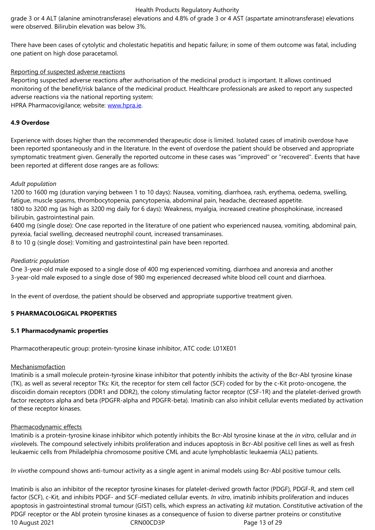There have been cases of cytolytic and cholestatic hepatitis and hepatic failure; in some of them outcome was fatal, including one patient on high dose paracetamol.

## Reporting of suspected adverse reactions

Reporting suspected adverse reactions after authorisation of the medicinal product is important. It allows continued monitoring of the benefit/risk balance of the medicinal product. Healthcare professionals are asked to report any suspected adverse reactions via the national reporting system: HPRA Pharmacovigilance; website: www.hpra.ie.

## **4.9 Overdose**

Experience with doses higher than [the recomme](http://www.hpra.ie/)nded therapeutic dose is limited. Isolated cases of imatinib overdose have been reported spontaneously and in the literature. In the event of overdose the patient should be observed and appropriate symptomatic treatment given. Generally the reported outcome in these cases was "improved" or "recovered". Events that have been reported at different dose ranges are as follows:

#### *Adult population*

1200 to 1600 mg (duration varying between 1 to 10 days): Nausea, vomiting, diarrhoea, rash, erythema, oedema, swelling, fatigue, muscle spasms, thrombocytopenia, pancytopenia, abdominal pain, headache, decreased appetite.

1800 to 3200 mg (as high as 3200 mg daily for 6 days): Weakness, myalgia, increased creatine phosphokinase, increased bilirubin, gastrointestinal pain.

6400 mg (single dose): One case reported in the literature of one patient who experienced nausea, vomiting, abdominal pain, pyrexia, facial swelling, decreased neutrophil count, increased transaminases.

8 to 10 g (single dose): Vomiting and gastrointestinal pain have been reported.

#### *Paediatric population*

One 3-year-old male exposed to a single dose of 400 mg experienced vomiting, diarrhoea and anorexia and another 3-year-old male exposed to a single dose of 980 mg experienced decreased white blood cell count and diarrhoea.

In the event of overdose, the patient should be observed and appropriate supportive treatment given.

#### **5 PHARMACOLOGICAL PROPERTIES**

#### **5.1 Pharmacodynamic properties**

Pharmacotherapeutic group: protein-tyrosine kinase inhibitor, ATC code: L01XE01

#### Mechanismofaction

Imatinib is a small molecule protein-tyrosine kinase inhibitor that potently inhibits the activity of the Bcr-Abl tyrosine kinase (TK), as well as several receptor TKs: Kit, the receptor for stem cell factor (SCF) coded for by the c-Kit proto-oncogene, the discoidin domain receptors (DDR1 and DDR2), the colony stimulating factor receptor (CSF-1R) and the platelet-derived growth factor receptors alpha and beta (PDGFR-alpha and PDGFR-beta). Imatinib can also inhibit cellular events mediated by activation of these receptor kinases.

#### Pharmacodynamic effects

Imatinib is a protein-tyrosine kinase inhibitor which potently inhibits the Bcr-Abl tyrosine kinase at the *in vitro*, cellular and *in vivo*levels. The compound selectively inhibits proliferation and induces apoptosis in Bcr-Abl positive cell lines as well as fresh leukaemic cells from Philadelphia chromosome positive CML and acute lymphoblastic leukaemia (ALL) patients.

*In vivo*the compound shows anti-tumour activity as a single agent in animal models using Bcr-Abl positive tumour cells.

10 August 2021 CRN00CD3P CRNOOCD3P Page 13 of 29 Imatinib is also an inhibitor of the receptor tyrosine kinases for platelet-derived growth factor (PDGF), PDGF-R, and stem cell factor (SCF), c-Kit, and inhibits PDGF- and SCF-mediated cellular events. *In vitro*, imatinib inhibits proliferation and induces apoptosis in gastrointestinal stromal tumour (GIST) cells, which express an activating *kit* mutation. Constitutive activation of the PDGF receptor or the Abl protein tyrosine kinases as a consequence of fusion to diverse partner proteins or constitutive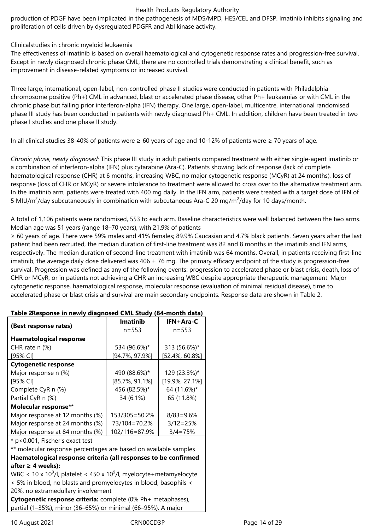production of PDGF have been implicated in the pathogenesis of MDS/MPD, HES/CEL and DFSP. Imatinib inhibits signaling and proliferation of cells driven by dysregulated PDGFR and Abl kinase activity.

## Clinicalstudies in chronic myeloid leukaemia

The effectiveness of imatinib is based on overall haematological and cytogenetic response rates and progression-free survival. Except in newly diagnosed chronic phase CML, there are no controlled trials demonstrating a clinical benefit, such as improvement in disease-related symptoms or increased survival.

Three large, international, open-label, non-controlled phase II studies were conducted in patients with Philadelphia chromosome positive (Ph+) CML in advanced, blast or accelerated phase disease, other Ph+ leukaemias or with CML in the chronic phase but failing prior interferon-alpha (IFN) therapy. One large, open-label, multicentre, international randomised phase III study has been conducted in patients with newly diagnosed Ph+ CML. In addition, children have been treated in two phase I studies and one phase II study.

In all clinical studies 38-40% of patients were ≥ 60 years of age and 10-12% of patients were ≥ 70 years of age.

*Chronic phase, newly diagnosed:* This phase III study in adult patients compared treatment with either single-agent imatinib or a combination of interferon-alpha (IFN) plus cytarabine (Ara-C). Patients showing lack of response (lack of complete haematological response (CHR) at 6 months, increasing WBC, no major cytogenetic response (MCyR) at 24 months), loss of response (loss of CHR or MCyR) or severe intolerance to treatment were allowed to cross over to the alternative treatment arm. In the imatinib arm, patients were treated with 400 mg daily. In the IFN arm, patients were treated with a target dose of IFN of 5 MIU/m<sup>2</sup>/day subcutaneously in combination with subcutaneous Ara-C 20 mg/m<sup>2</sup>/day for 10 days/month.

A total of 1,106 patients were randomised, 553 to each arm. Baseline characteristics were well balanced between the two arms. Median age was 51 years (range 18–70 years), with 21.9% of patients

≥ 60 years of age. There were 59% males and 41% females; 89.9% Caucasian and 4.7% black patients. Seven years after the last patient had been recruited, the median duration of first-line treatment was 82 and 8 months in the imatinib and IFN arms, respectively. The median duration of second-line treatment with imatinib was 64 months. Overall, in patients receiving first-line imatinib, the average daily dose delivered was  $406 \pm 76$  mg. The primary efficacy endpoint of the study is progression-free survival. Progression was defined as any of the following events: progression to accelerated phase or blast crisis, death, loss of CHR or MCyR, or in patients not achieving a CHR an increasing WBC despite appropriate therapeutic management. Major cytogenetic response, haematological response, molecular response (evaluation of minimal residual disease), time to accelerated phase or blast crisis and survival are main secondary endpoints. Response data are shown in Table 2.

| (Best response rates)           | <b>Imatinib</b>    | IFN+Ara-C          |  |
|---------------------------------|--------------------|--------------------|--|
|                                 | $n = 553$          | $n = 553$          |  |
| <b>Haematological response</b>  |                    |                    |  |
| CHR rate $n$ (%)                | 534 (96.6%)*       | 313 (56.6%)*       |  |
| [95% CI]                        | $[94.7\%, 97.9\%]$ | $[52.4\%, 60.8\%]$ |  |
| <b>Cytogenetic response</b>     |                    |                    |  |
| Major response n (%)            | 490 (88.6%)*       | 129 (23.3%)*       |  |
| [95% CI]                        | $[85.7\%, 91.1\%]$ | $[19.9\%, 27.1\%]$ |  |
| Complete CyR n (%)              | 456 (82.5%)*       | 64 (11.6%)*        |  |
| Partial CyR n (%)               | 34 (6.1%)          | 65 (11.8%)         |  |
| Molecular response**            |                    |                    |  |
| Major response at 12 months (%) | 153/305=50.2%      | $8/83 = 9.6%$      |  |
| Major response at 24 months (%) | 73/104=70.2%       | $3/12 = 25%$       |  |
| Major response at 84 months (%) | 102/116=87.9%      | $3/4 = 75%$        |  |
|                                 |                    |                    |  |

#### **Table 2Response in newly diagnosed CML Study (84-month data)**

\* p<0.001, Fischer's exact test

\*\* molecular response percentages are based on available samples **Haematological response criteria (all responses to be confirmed after ≥ 4 weeks):**

WBC < 10 x 10<sup>9</sup>/l, platelet < 450 x 10<sup>9</sup>/l, myelocyte+metamyelocyte < 5% in blood, no blasts and promyelocytes in blood, basophils < 20%, no extramedullary involvement

**Cytogenetic response criteria:** complete (0% Ph+ metaphases), partial (1–35%), minor (36–65%) or minimal (66–95%). A major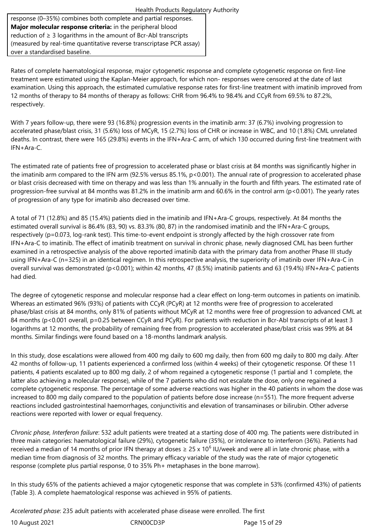Health Products Regulatory Authority response (0–35%) combines both complete and partial responses. **Major molecular response criteria:** in the peripheral blood reduction of  $\geq 3$  logarithms in the amount of Bcr-Abl transcripts (measured by real-time quantitative reverse transcriptase PCR assay) over a standardised baseline.

Rates of complete haematological response, major cytogenetic response and complete cytogenetic response on first-line treatment were estimated using the Kaplan-Meier approach, for which non- responses were censored at the date of last examination. Using this approach, the estimated cumulative response rates for first-line treatment with imatinib improved from 12 months of therapy to 84 months of therapy as follows: CHR from 96.4% to 98.4% and CCyR from 69.5% to 87.2%, respectively.

With 7 years follow-up, there were 93 (16.8%) progression events in the imatinib arm: 37 (6.7%) involving progression to accelerated phase/blast crisis, 31 (5.6%) loss of MCyR, 15 (2.7%) loss of CHR or increase in WBC, and 10 (1.8%) CML unrelated deaths. In contrast, there were 165 (29.8%) events in the IFN+Ara-C arm, of which 130 occurred during first-line treatment with IFN+Ara-C.

The estimated rate of patients free of progression to accelerated phase or blast crisis at 84 months was significantly higher in the imatinib arm compared to the IFN arm (92.5% versus 85.1%, p<0.001). The annual rate of progression to accelerated phase or blast crisis decreased with time on therapy and was less than 1% annually in the fourth and fifth years. The estimated rate of progression-free survival at 84 months was 81.2% in the imatinib arm and 60.6% in the control arm (p<0.001). The yearly rates of progression of any type for imatinib also decreased over time.

A total of 71 (12.8%) and 85 (15.4%) patients died in the imatinib and IFN+Ara-C groups, respectively. At 84 months the estimated overall survival is 86.4% (83, 90) vs. 83.3% (80, 87) in the randomised imatinib and the IFN+Ara-C groups, respectively (p=0.073, log-rank test). This time-to-event endpoint is strongly affected by the high crossover rate from IFN+Ara-C to imatinib. The effect of imatinib treatment on survival in chronic phase, newly diagnosed CML has been further examined in a retrospective analysis of the above reported imatinib data with the primary data from another Phase III study using IFN+Ara-C (n=325) in an identical regimen. In this retrospective analysis, the superiority of imatinib over IFN+Ara-C in overall survival was demonstrated (p<0.001); within 42 months, 47 (8.5%) imatinib patients and 63 (19.4%) IFN+Ara-C patients had died.

The degree of cytogenetic response and molecular response had a clear effect on long-term outcomes in patients on imatinib. Whereas an estimated 96% (93%) of patients with CCyR (PCyR) at 12 months were free of progression to accelerated phase/blast crisis at 84 months, only 81% of patients without MCyR at 12 months were free of progression to advanced CML at 84 months (p<0.001 overall, p=0.25 between CCyR and PCyR). For patients with reduction in Bcr-Abl transcripts of at least 3 logarithms at 12 months, the probability of remaining free from progression to accelerated phase/blast crisis was 99% at 84 months. Similar findings were found based on a 18-months landmark analysis.

In this study, dose escalations were allowed from 400 mg daily to 600 mg daily, then from 600 mg daily to 800 mg daily. After 42 months of follow-up, 11 patients experienced a confirmed loss (within 4 weeks) of their cytogenetic response. Of these 11 patients, 4 patients escalated up to 800 mg daily, 2 of whom regained a cytogenetic response (1 partial and 1 complete, the latter also achieving a molecular response), while of the 7 patients who did not escalate the dose, only one regained a complete cytogenetic response. The percentage of some adverse reactions was higher in the 40 patients in whom the dose was increased to 800 mg daily compared to the population of patients before dose increase (n=551). The more frequent adverse reactions included gastrointestinal haemorrhages, conjunctivitis and elevation of transaminases or bilirubin. Other adverse reactions were reported with lower or equal frequency.

*Chronic phase, Interferon failure*: 532 adult patients were treated at a starting dose of 400 mg. The patients were distributed in three main categories: haematological failure (29%), cytogenetic failure (35%), or intolerance to interferon (36%). Patients had received a median of 14 months of prior IFN therapy at doses  $\geq 25$  x 10<sup>6</sup> IU/week and were all in late chronic phase, with a median time from diagnosis of 32 months. The primary efficacy variable of the study was the rate of major cytogenetic response (complete plus partial response, 0 to 35% Ph+ metaphases in the bone marrow).

In this study 65% of the patients achieved a major cytogenetic response that was complete in 53% (confirmed 43%) of patients (Table 3). A complete haematological response was achieved in 95% of patients.

*Accelerated phase*: 235 adult patients with accelerated phase disease were enrolled. The first

|  | 10 August 2021 |
|--|----------------|
|  |                |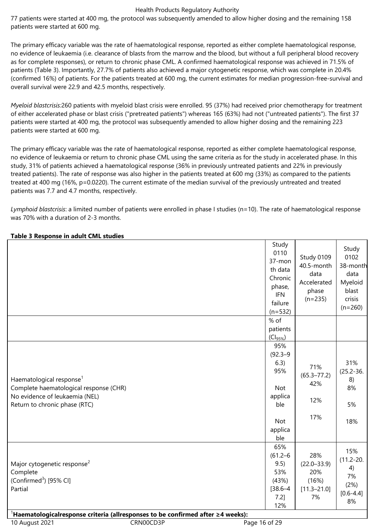77 patients were started at 400 mg, the protocol was subsequently amended to allow higher dosing and the remaining 158 patients were started at 600 mg.

The primary efficacy variable was the rate of haematological response, reported as either complete haematological response, no evidence of leukaemia (i.e. clearance of blasts from the marrow and the blood, but without a full peripheral blood recovery as for complete responses), or return to chronic phase CML. A confirmed haematological response was achieved in 71.5% of patients (Table 3). Importantly, 27.7% of patients also achieved a major cytogenetic response, which was complete in 20.4% (confirmed 16%) of patients. For the patients treated at 600 mg, the current estimates for median progression-free-survival and overall survival were 22.9 and 42.5 months, respectively.

*Myeloid blastcrisis:*260 patients with myeloid blast crisis were enrolled. 95 (37%) had received prior chemotherapy for treatment of either accelerated phase or blast crisis ("pretreated patients") whereas 165 (63%) had not ("untreated patients"). The first 37 patients were started at 400 mg, the protocol was subsequently amended to allow higher dosing and the remaining 223 patients were started at 600 mg.

The primary efficacy variable was the rate of haematological response, reported as either complete haematological response, no evidence of leukaemia or return to chronic phase CML using the same criteria as for the study in accelerated phase. In this study, 31% of patients achieved a haematological response (36% in previously untreated patients and 22% in previously treated patients). The rate of response was also higher in the patients treated at 600 mg (33%) as compared to the patients treated at 400 mg (16%, p=0.0220). The current estimate of the median survival of the previously untreated and treated patients was 7.7 and 4.7 months, respectively.

*Lymphoid blastcrisis*: a limited number of patients were enrolled in phase I studies (n=10). The rate of haematological response was 70% with a duration of 2-3 months.

| Table 3 Response in adult CML studies |  |  |
|---------------------------------------|--|--|
|                                       |  |  |

|                                                                                                                                                   | Study<br>0110<br>37-mon<br>th data<br>Chronic<br>phase,<br><b>IFN</b><br>failure<br>$(n=532)$      | Study 0109<br>40.5-month<br>data<br>Accelerated<br>phase<br>$(n=235)$ | Study<br>0102<br>38-month<br>data<br>Myeloid<br>blast<br>crisis<br>$(n=260)$ |
|---------------------------------------------------------------------------------------------------------------------------------------------------|----------------------------------------------------------------------------------------------------|-----------------------------------------------------------------------|------------------------------------------------------------------------------|
|                                                                                                                                                   | % of<br>patients                                                                                   |                                                                       |                                                                              |
|                                                                                                                                                   | $(Cl_{95\%})$                                                                                      |                                                                       |                                                                              |
| Haematological response <sup>1</sup><br>Complete haematological response (CHR)<br>No evidence of leukaemia (NEL)<br>Return to chronic phase (RTC) | 95%<br>$(92.3 - 9)$<br>6.3)<br>95%<br><b>Not</b><br>applica<br>ble<br><b>Not</b><br>applica<br>ble | 71%<br>$(65.3 - 77.2)$<br>42%<br>12%<br>17%                           | 31%<br>$(25.2 - 36.$<br>8)<br>8%<br>5%<br>18%                                |
| Major cytogenetic response <sup>2</sup><br>Complete<br>(Confirmed <sup>3</sup> ) [95% CI]<br>Partial                                              | 65%<br>$(61.2 - 6)$<br>9.5)<br>53%<br>(43%)<br>$[38.6 - 4]$<br>$7.2$ ]<br>12%                      | 28%<br>$(22.0 - 33.9)$<br>20%<br>(16%)<br>$[11.3 - 21.0]$<br>7%       | 15%<br>$(11.2 - 20.$<br>4)<br>7%<br>(2%)<br>$[0.6 - 4.4]$<br>8%              |

<sup>1</sup>**Haematologicalresponse criteria (allresponses to be confirmed after ≥4 weeks):**

10 August 2021 **CRNOOCD3P** CRNOOCD3P Page 16 of 29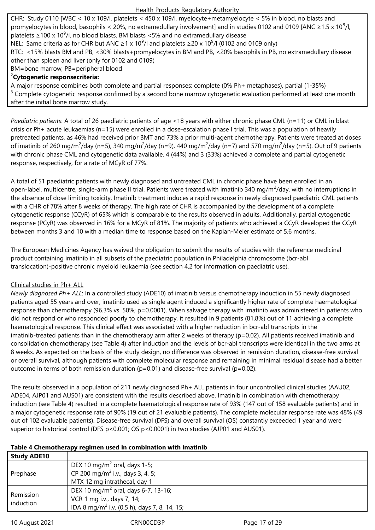CHR: Study 0110 [WBC < 10 x 109/l, platelets < 450 x 109/l, myelocyte+metamyelocyte < 5% in blood, no blasts and promyelocytes in blood, basophils < 20%, no extramedullary involvement] and in studies 0102 and 0109 [ANC  $\geq$ 1.5 x 10<sup>9</sup>/l, platelets ≥100 x 10<sup>9</sup>/l, no blood blasts, BM blasts <5% and no extramedullary disease

NEL: Same criteria as for CHR but ANC ≥1 x 10<sup>9</sup>/l and platelets ≥20 x 10<sup>9</sup>/l (0102 and 0109 only)

RTC: <15% blasts BM and PB, <30% blasts+promyelocytes in BM and PB, <20% basophils in PB, no extramedullary disease other than spleen and liver (only for 0102 and 0109)

BM=bone marrow, PB=peripheral blood

# <sup>2</sup>**Cytogenetic responsecriteria:**

A major response combines both complete and partial responses: complete (0% Ph+ metaphases), partial (1-35%)  $3$  Complete cytogenetic response confirmed by a second bone marrow cytogenetic evaluation performed at least one month after the initial bone marrow study.

*Paediatric patients*: A total of 26 paediatric patients of age <18 years with either chronic phase CML (n=11) or CML in blast crisis or Ph+ acute leukaemias (n=15) were enrolled in a dose-escalation phase I trial. This was a population of heavily pretreated patients, as 46% had received prior BMT and 73% a prior multi-agent chemotherapy. Patients were treated at doses of imatinib of 260 mg/m<sup>2</sup>/day (n=5), 340 mg/m<sup>2</sup>/day (n=9), 440 mg/m<sup>2</sup>/day (n=7) and 570 mg/m<sup>2</sup>/day (n=5). Out of 9 patients with chronic phase CML and cytogenetic data available, 4 (44%) and 3 (33%) achieved a complete and partial cytogenetic response, respectively, for a rate of MCyR of 77%.

A total of 51 paediatric patients with newly diagnosed and untreated CML in chronic phase have been enrolled in an open-label, multicentre, single-arm phase II trial. Patients were treated with imatinib 340 mg/m<sup>2</sup>/day, with no interruptions in the absence of dose limiting toxicity. Imatinib treatment induces a rapid response in newly diagnosed paediatric CML patients with a CHR of 78% after 8 weeks of therapy. The high rate of CHR is accompanied by the development of a complete cytogenetic response (CCyR) of 65% which is comparable to the results observed in adults. Additionally, partial cytogenetic response (PCyR) was observed in 16% for a MCyR of 81%. The majority of patients who achieved a CCyR developed the CCyR between months 3 and 10 with a median time to response based on the Kaplan-Meier estimate of 5.6 months.

The European Medicines Agency has waived the obligation to submit the results of studies with the reference medicinal product containing imatinib in all subsets of the paediatric population in Philadelphia chromosome (bcr-abl translocation)-positive chronic myeloid leukaemia (see section 4.2 for information on paediatric use).

## Clinical studies in Ph+ ALL

*Newly diagnosed Ph+ ALL*: In a controlled study (ADE10) of imatinib versus chemotherapy induction in 55 newly diagnosed patients aged 55 years and over, imatinib used as single agent induced a significantly higher rate of complete haematological response than chemotherapy (96.3% vs. 50%; p=0.0001). When salvage therapy with imatinib was administered in patients who did not respond or who responded poorly to chemotherapy, it resulted in 9 patients (81.8%) out of 11 achieving a complete haematological response. This clinical effect was associated with a higher reduction in bcr-abl transcripts in the imatinib-treated patients than in the chemotherapy arm after 2 weeks of therapy (p=0.02). All patients received imatinib and consolidation chemotherapy (see Table 4) after induction and the levels of bcr-abl transcripts were identical in the two arms at 8 weeks. As expected on the basis of the study design, no difference was observed in remission duration, disease-free survival or overall survival, although patients with complete molecular response and remaining in minimal residual disease had a better outcome in terms of both remission duration ( $p=0.01$ ) and disease-free survival ( $p=0.02$ ).

The results observed in a population of 211 newly diagnosed Ph+ ALL patients in four uncontrolled clinical studies (AAU02, ADE04, AJP01 and AUS01) are consistent with the results described above. Imatinib in combination with chemotherapy induction (see Table 4) resulted in a complete haematological response rate of 93% (147 out of 158 evaluable patients) and in a major cytogenetic response rate of 90% (19 out of 21 evaluable patients). The complete molecular response rate was 48% (49 out of 102 evaluable patients). Disease-free survival (DFS) and overall survival (OS) constantly exceeded 1 year and were superior to historical control (DFS p<0.001; OS p<0.0001) in two studies (AJP01 and AUS01).

#### **Table 4 Chemotherapy regimen used in combination with imatinib**

| <b>Study ADE10</b> |                                                          |
|--------------------|----------------------------------------------------------|
| Prephase           | DEX 10 mg/m <sup>2</sup> oral, days 1-5;                 |
|                    | CP 200 mg/m <sup>2</sup> i.v., days 3, 4, 5;             |
|                    | MTX 12 mg intrathecal, day 1                             |
| Remission          | DEX 10 mg/m <sup>2</sup> oral, days 6-7, 13-16;          |
| induction          | VCR 1 mg i.v., days 7, 14;                               |
|                    | IDA 8 mg/m <sup>2</sup> i.v. (0.5 h), days 7, 8, 14, 15; |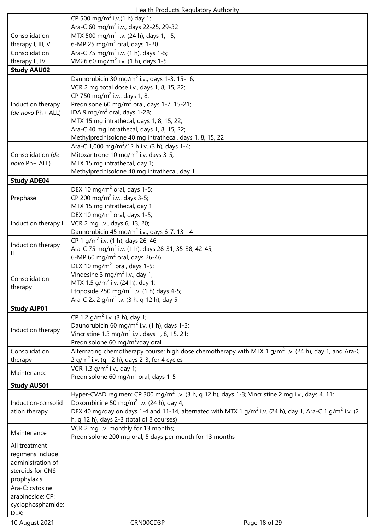|                     | Health Products Regulatory Authority                                                                      |                                                                                                                                  |
|---------------------|-----------------------------------------------------------------------------------------------------------|----------------------------------------------------------------------------------------------------------------------------------|
|                     | CP 500 mg/m <sup>2</sup> i.v.(1 h) day 1;                                                                 |                                                                                                                                  |
|                     | Ara-C 60 mg/m <sup>2</sup> i.v., days 22-25, 29-32                                                        |                                                                                                                                  |
| Consolidation       | MTX 500 mg/m <sup>2</sup> i.v. (24 h), days 1, 15;                                                        |                                                                                                                                  |
| therapy I, III, V   | 6-MP 25 mg/m <sup>2</sup> oral, days 1-20                                                                 |                                                                                                                                  |
| Consolidation       | Ara-C 75 mg/m <sup>2</sup> i.v. (1 h), days 1-5;                                                          |                                                                                                                                  |
| therapy II, IV      | VM26 60 mg/m <sup>2</sup> i.v. (1 h), days 1-5                                                            |                                                                                                                                  |
| <b>Study AAU02</b>  |                                                                                                           |                                                                                                                                  |
|                     | Daunorubicin 30 mg/m <sup>2</sup> i.v., days 1-3, 15-16;                                                  |                                                                                                                                  |
|                     | VCR 2 mg total dose i.v., days 1, 8, 15, 22;                                                              |                                                                                                                                  |
|                     | CP 750 mg/m <sup>2</sup> i.v., days 1, 8;                                                                 |                                                                                                                                  |
| Induction therapy   | Prednisone 60 mg/m <sup>2</sup> oral, days 1-7, 15-21;                                                    |                                                                                                                                  |
| (de novo Ph+ ALL)   | IDA 9 mg/m <sup>2</sup> oral, days 1-28;<br>MTX 15 mg intrathecal, days 1, 8, 15, 22;                     |                                                                                                                                  |
|                     | Ara-C 40 mg intrathecal, days 1, 8, 15, 22;                                                               |                                                                                                                                  |
|                     | Methylprednisolone 40 mg intrathecal, days 1, 8, 15, 22                                                   |                                                                                                                                  |
|                     | Ara-C 1,000 mg/m <sup>2</sup> /12 h i.v. (3 h), days 1-4;                                                 |                                                                                                                                  |
| Consolidation (de   | Mitoxantrone 10 mg/m <sup>2</sup> i.v. days 3-5;                                                          |                                                                                                                                  |
| novo Ph+ ALL)       | MTX 15 mg intrathecal, day 1;                                                                             |                                                                                                                                  |
|                     | Methylprednisolone 40 mg intrathecal, day 1                                                               |                                                                                                                                  |
| <b>Study ADE04</b>  |                                                                                                           |                                                                                                                                  |
|                     | DEX 10 mg/m <sup>2</sup> oral, days 1-5;                                                                  |                                                                                                                                  |
| Prephase            | CP 200 mg/m <sup>2</sup> i.v., days 3-5;                                                                  |                                                                                                                                  |
|                     | MTX 15 mg intrathecal, day 1                                                                              |                                                                                                                                  |
|                     | DEX 10 mg/m <sup>2</sup> oral, days 1-5;                                                                  |                                                                                                                                  |
| Induction therapy I | VCR 2 mg i.v., days 6, 13, 20;                                                                            |                                                                                                                                  |
|                     | Daunorubicin 45 mg/m <sup>2</sup> i.v., days 6-7, 13-14                                                   |                                                                                                                                  |
| Induction therapy   | CP 1 g/m <sup>2</sup> i.v. (1 h), days 26, 46;                                                            |                                                                                                                                  |
| Ш.                  | Ara-C 75 mg/m <sup>2</sup> i.v. (1 h), days 28-31, 35-38, 42-45;                                          |                                                                                                                                  |
|                     | 6-MP 60 mg/m <sup>2</sup> oral, days 26-46                                                                |                                                                                                                                  |
|                     | DEX 10 mg/m <sup>2</sup> oral, days 1-5;                                                                  |                                                                                                                                  |
| Consolidation       | Vindesine 3 mg/m <sup>2</sup> i.v., day 1;                                                                |                                                                                                                                  |
| therapy             | MTX 1.5 g/m <sup>2</sup> i.v. (24 h), day 1;                                                              |                                                                                                                                  |
|                     | Etoposide 250 mg/m <sup>2</sup> i.v. (1 h) days 4-5;                                                      |                                                                                                                                  |
|                     | Ara-C 2x 2 g/m <sup>2</sup> i.v. (3 h, q 12 h), day 5                                                     |                                                                                                                                  |
| <b>Study AJP01</b>  |                                                                                                           |                                                                                                                                  |
|                     | CP 1.2 $q/m^2$ i.v. (3 h), day 1;                                                                         |                                                                                                                                  |
| Induction therapy   | Daunorubicin 60 mg/m <sup>2</sup> i.v. (1 h), days 1-3;                                                   |                                                                                                                                  |
|                     | Vincristine 1.3 mg/m <sup>2</sup> i.v., days 1, 8, 15, 21;<br>Prednisolone 60 mg/m <sup>2</sup> /day oral |                                                                                                                                  |
| Consolidation       |                                                                                                           | Alternating chemotherapy course: high dose chemotherapy with MTX 1 $g/m^2$ i.v. (24 h), day 1, and Ara-C                         |
| therapy             | 2 g/m <sup>2</sup> i.v. (q 12 h), days 2-3, for 4 cycles                                                  |                                                                                                                                  |
|                     | VCR 1.3 $q/m^2$ i.v., day 1;                                                                              |                                                                                                                                  |
| Maintenance         | Prednisolone 60 mg/m <sup>2</sup> oral, days 1-5                                                          |                                                                                                                                  |
| <b>Study AUS01</b>  |                                                                                                           |                                                                                                                                  |
|                     |                                                                                                           | Hyper-CVAD regimen: CP 300 mg/m <sup>2</sup> i.v. (3 h, q 12 h), days 1-3; Vincristine 2 mg i.v., days 4, 11;                    |
| Induction-consolid  | Doxorubicine 50 mg/m <sup>2</sup> i.v. (24 h), day 4;                                                     |                                                                                                                                  |
| ation therapy       |                                                                                                           | DEX 40 mg/day on days 1-4 and 11-14, alternated with MTX 1 g/m <sup>2</sup> i.v. (24 h), day 1, Ara-C 1 g/m <sup>2</sup> i.v. (2 |
|                     | h, q 12 h), days 2-3 (total of 8 courses)                                                                 |                                                                                                                                  |
|                     | VCR 2 mg i.v. monthly for 13 months;                                                                      |                                                                                                                                  |
| Maintenance         | Prednisolone 200 mg oral, 5 days per month for 13 months                                                  |                                                                                                                                  |
| All treatment       |                                                                                                           |                                                                                                                                  |
| regimens include    |                                                                                                           |                                                                                                                                  |
| administration of   |                                                                                                           |                                                                                                                                  |
| steroids for CNS    |                                                                                                           |                                                                                                                                  |
| prophylaxis.        |                                                                                                           |                                                                                                                                  |
| Ara-C: cytosine     |                                                                                                           |                                                                                                                                  |
| arabinoside; CP:    |                                                                                                           |                                                                                                                                  |
| cyclophosphamide;   |                                                                                                           |                                                                                                                                  |
| DEX:                |                                                                                                           |                                                                                                                                  |
| 10 August 2021      | CRN00CD3P                                                                                                 | Page 18 of 29                                                                                                                    |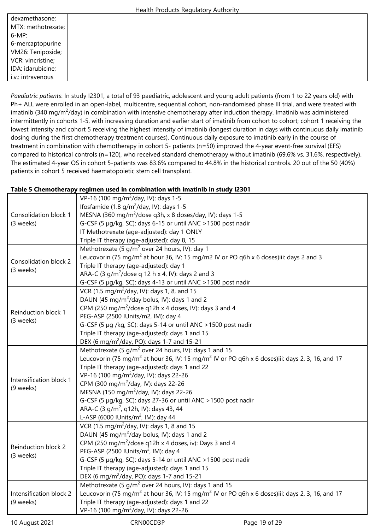|                    | Health Products Regulatory Authority |
|--------------------|--------------------------------------|
| dexamethasone;     |                                      |
| MTX: methotrexate; |                                      |
| $6-MP$ :           |                                      |
| 6-mercaptopurine   |                                      |
| VM26: Teniposide;  |                                      |
| VCR: vincristine;  |                                      |
| IDA: idarubicine;  |                                      |
| i.v.: intravenous  |                                      |
|                    |                                      |

*Paediatric patients*: In study I2301, a total of 93 paediatric, adolescent and young adult patients (from 1 to 22 years old) with Ph+ ALL were enrolled in an open-label, multicentre, sequential cohort, non-randomised phase III trial, and were treated with imatinib (340 mg/m<sup>2</sup>/day) in combination with intensive chemotherapy after induction therapy. Imatinib was administered intermittently in cohorts 1-5, with increasing duration and earlier start of imatinib from cohort to cohort; cohort 1 receiving the lowest intensity and cohort 5 receiving the highest intensity of imatinib (longest duration in days with continuous daily imatinib dosing during the first chemotherapy treatment courses). Continuous daily exposure to imatinib early in the course of treatment in combination with chemotherapy in cohort 5- patients (n=50) improved the 4-year event-free survival (EFS) compared to historical controls (n=120), who received standard chemotherapy without imatinib (69.6% vs. 31.6%, respectively). The estimated 4-year OS in cohort 5-patients was 83.6% compared to 44.8% in the historical controls. 20 out of the 50 (40%) patients in cohort 5 received haematopoietic stem cell transplant.

## **Table 5 Chemotherapy regimen used in combination with imatinib in study I2301**

|                              | VP-16 (100 mg/m <sup>2</sup> /day, IV): days 1-5                                                                        |               |  |  |  |  |  |  |
|------------------------------|-------------------------------------------------------------------------------------------------------------------------|---------------|--|--|--|--|--|--|
|                              | Ifosfamide (1.8 $g/m^2$ /day, IV): days 1-5                                                                             |               |  |  |  |  |  |  |
| <b>Consolidation block 1</b> | MESNA (360 mg/m <sup>2</sup> /dose q3h, x 8 doses/day, IV): days 1-5                                                    |               |  |  |  |  |  |  |
| (3 weeks)                    | G-CSF (5 µg/kg, SC): days 6-15 or until ANC > 1500 post nadir                                                           |               |  |  |  |  |  |  |
|                              | IT Methotrexate (age-adjusted): day 1 ONLY                                                                              |               |  |  |  |  |  |  |
|                              | Triple IT therapy (age-adjusted): day 8, 15                                                                             |               |  |  |  |  |  |  |
|                              | Methotrexate (5 g/m <sup>2</sup> over 24 hours, IV): day 1                                                              |               |  |  |  |  |  |  |
|                              | Leucovorin (75 mg/m <sup>2</sup> at hour 36, IV; 15 mg/m2 IV or PO q6h x 6 doses)iii: days 2 and 3                      |               |  |  |  |  |  |  |
| Consolidation block 2        | Triple IT therapy (age-adjusted): day 1                                                                                 |               |  |  |  |  |  |  |
| (3 weeks)                    | ARA-C (3 g/m <sup>2</sup> /dose q 12 h x 4, IV): days 2 and 3                                                           |               |  |  |  |  |  |  |
|                              | G-CSF (5 µg/kg, SC): days 4-13 or until ANC > 1500 post nadir                                                           |               |  |  |  |  |  |  |
|                              | VCR (1.5 mg/m <sup>2</sup> /day, IV): days 1, 8, and 15                                                                 |               |  |  |  |  |  |  |
|                              | DAUN (45 mg/m <sup>2</sup> /day bolus, IV): days 1 and 2                                                                |               |  |  |  |  |  |  |
|                              | CPM (250 mg/m <sup>2</sup> /dose q12h x 4 doses, IV): days 3 and 4                                                      |               |  |  |  |  |  |  |
| Reinduction block 1          | PEG-ASP (2500 IUnits/m2, IM): day 4                                                                                     |               |  |  |  |  |  |  |
| (3 weeks)                    | G-CSF (5 µg /kg, SC): days 5-14 or until ANC > 1500 post nadir                                                          |               |  |  |  |  |  |  |
|                              | Triple IT therapy (age-adjusted): days 1 and 15                                                                         |               |  |  |  |  |  |  |
|                              | DEX (6 mg/m <sup>2</sup> /day, PO): days 1-7 and 15-21                                                                  |               |  |  |  |  |  |  |
|                              | Methotrexate (5 $q/m^2$ over 24 hours, IV): days 1 and 15                                                               |               |  |  |  |  |  |  |
|                              | Leucovorin (75 mg/m <sup>2</sup> at hour 36, IV; 15 mg/m <sup>2</sup> IV or PO q6h x 6 doses)iii: days 2, 3, 16, and 17 |               |  |  |  |  |  |  |
|                              | Triple IT therapy (age-adjusted): days 1 and 22                                                                         |               |  |  |  |  |  |  |
|                              | VP-16 (100 mg/m <sup>2</sup> /day, IV): days 22-26                                                                      |               |  |  |  |  |  |  |
| Intensification block 1      | CPM (300 mg/m <sup>2</sup> /day, IV): days 22-26                                                                        |               |  |  |  |  |  |  |
| (9 weeks)                    | MESNA (150 mg/m <sup>2</sup> /day, IV): days 22-26                                                                      |               |  |  |  |  |  |  |
|                              | G-CSF (5 µg/kg, SC): days 27-36 or until ANC > 1500 post nadir                                                          |               |  |  |  |  |  |  |
|                              | ARA-C (3 g/m <sup>2</sup> , q12h, IV): days 43, 44                                                                      |               |  |  |  |  |  |  |
|                              | L-ASP (6000 IUnits/m <sup>2</sup> , IM): day 44                                                                         |               |  |  |  |  |  |  |
|                              | VCR (1.5 mg/m <sup>2</sup> /day, IV): days 1, 8 and 15                                                                  |               |  |  |  |  |  |  |
|                              | DAUN (45 mg/m <sup>2</sup> /day bolus, IV): days 1 and 2                                                                |               |  |  |  |  |  |  |
|                              | CPM (250 mg/m <sup>2</sup> /dose q12h x 4 doses, iv): Days 3 and 4                                                      |               |  |  |  |  |  |  |
| Reinduction block 2          | PEG-ASP (2500 IUnits/m <sup>2</sup> , IM): day 4                                                                        |               |  |  |  |  |  |  |
| (3 weeks)                    | G-CSF (5 µg/kg, SC): days 5-14 or until ANC > 1500 post nadir                                                           |               |  |  |  |  |  |  |
|                              | Triple IT therapy (age-adjusted): days 1 and 15                                                                         |               |  |  |  |  |  |  |
|                              | DEX (6 mg/m <sup>2</sup> /day, PO): days 1-7 and 15-21                                                                  |               |  |  |  |  |  |  |
|                              | Methotrexate (5 $q/m^2$ over 24 hours, IV): days 1 and 15                                                               |               |  |  |  |  |  |  |
| Intensification block 2      | Leucovorin (75 mg/m <sup>2</sup> at hour 36, IV; 15 mg/m <sup>2</sup> IV or PO q6h x 6 doses)iii: days 2, 3, 16, and 17 |               |  |  |  |  |  |  |
| (9 weeks)                    | Triple IT therapy (age-adjusted): days 1 and 22                                                                         |               |  |  |  |  |  |  |
|                              | VP-16 (100 mg/m <sup>2</sup> /day, IV): days 22-26                                                                      |               |  |  |  |  |  |  |
| 10 August 2021               | CRN00CD3P                                                                                                               | Page 19 of 29 |  |  |  |  |  |  |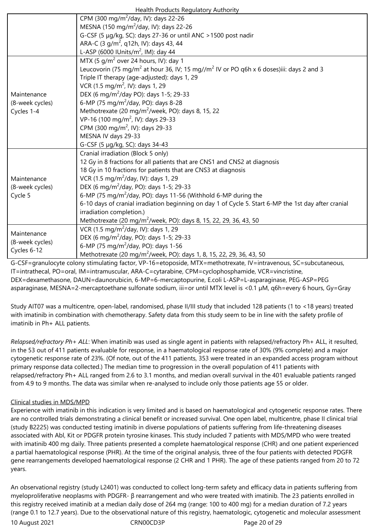| Health Products Regulatory Authority |
|--------------------------------------|
|--------------------------------------|

|                 | <b>Treater Froughts Regulatory Additionty</b>                                                                   |
|-----------------|-----------------------------------------------------------------------------------------------------------------|
|                 | CPM (300 mg/m <sup>2</sup> /day, IV): days 22-26                                                                |
|                 | MESNA (150 mg/m <sup>2</sup> /day, IV): days 22-26                                                              |
|                 | G-CSF (5 µg/kg, SC): days 27-36 or until ANC > 1500 post nadir                                                  |
|                 | ARA-C (3 g/m <sup>2</sup> , q12h, IV): days 43, 44                                                              |
|                 | L-ASP (6000 IUnits/m <sup>2</sup> , IM): day 44                                                                 |
|                 | MTX (5 g/m <sup>2</sup> over 24 hours, IV): day 1                                                               |
|                 | Leucovorin (75 mg/m <sup>2</sup> at hour 36, IV; 15 mg//m <sup>2</sup> IV or PO q6h x 6 doses)iii: days 2 and 3 |
|                 | Triple IT therapy (age-adjusted): days 1, 29                                                                    |
|                 | VCR (1.5 mg/m <sup>2</sup> , IV): days 1, 29                                                                    |
| Maintenance     | DEX (6 mg/m <sup>2</sup> /day PO): days 1-5; 29-33                                                              |
| (8-week cycles) | 6-MP (75 mg/m <sup>2</sup> /day, PO): days 8-28                                                                 |
| Cycles 1-4      | Methotrexate (20 mg/m <sup>2</sup> /week, PO): days 8, 15, 22                                                   |
|                 | VP-16 (100 mg/m <sup>2</sup> , IV): days 29-33                                                                  |
|                 | CPM (300 mg/m <sup>2</sup> , IV): days 29-33                                                                    |
|                 | MESNA IV days 29-33                                                                                             |
|                 | G-CSF (5 µg/kg, SC): days 34-43                                                                                 |
|                 | Cranial irradiation (Block 5 only)                                                                              |
|                 | 12 Gy in 8 fractions for all patients that are CNS1 and CNS2 at diagnosis                                       |
|                 | 18 Gy in 10 fractions for patients that are CNS3 at diagnosis                                                   |
| Maintenance     | VCR (1.5 mg/m <sup>2</sup> /day, IV): days 1, 29                                                                |
| (8-week cycles) | DEX (6 mg/m <sup>2</sup> /day, PO): days 1-5; 29-33                                                             |
| Cycle 5         | 6-MP (75 mg/m <sup>2</sup> /day, PO): days 11-56 (Withhold 6-MP during the                                      |
|                 | 6-10 days of cranial irradiation beginning on day 1 of Cycle 5. Start 6-MP the 1st day after cranial            |
|                 | irradiation completion.)                                                                                        |
|                 | Methotrexate (20 mg/m <sup>2</sup> /week, PO): days 8, 15, 22, 29, 36, 43, 50                                   |
|                 | VCR (1.5 mg/m <sup>2</sup> /day, IV): days 1, 29                                                                |
| Maintenance     | DEX (6 mg/m <sup>2</sup> /day, PO): days 1-5; 29-33                                                             |
| (8-week cycles) | 6-MP (75 mg/m <sup>2</sup> /day, PO): days 1-56                                                                 |
| Cycles 6-12     | Methotrexate (20 mg/m <sup>2</sup> /week, PO): days 1, 8, 15, 22, 29, 36, 43, 50                                |
|                 | CCE-grapulacita calonictimulating factor VD 16-eterocide MTV-methotrovate IV-intravanous SC-subsutaneous        |

G-CSF=granulocyte colony stimulating factor, VP-16=etoposide, MTX=methotrexate, IV=intravenous, SC=subcutaneous, IT=intrathecal, PO=oral, IM=intramuscular, ARA-C=cytarabine, CPM=cyclophosphamide, VCR=vincristine, DEX=dexamethasone, DAUN=daunorubicin, 6-MP=6-mercaptopurine, E.coli L-ASP=L-asparaginase, PEG-ASP=PEG asparaginase, MESNA=2-mercaptoethane sulfonate sodium, iii=or until MTX level is <0.1 µM, q6h=every 6 hours, Gy=Gray

Study AIT07 was a multicentre, open-label, randomised, phase II/III study that included 128 patients (1 to <18 years) treated with imatinib in combination with chemotherapy. Safety data from this study seem to be in line with the safety profile of imatinib in Ph+ ALL patients.

*Relapsed/refractory Ph+ ALL*: When imatinib was used as single agent in patients with relapsed/refractory Ph+ ALL, it resulted, in the 53 out of 411 patients evaluable for response, in a haematological response rate of 30% (9% complete) and a major cytogenetic response rate of 23%. (Of note, out of the 411 patients, 353 were treated in an expanded access program without primary response data collected.) The median time to progression in the overall population of 411 patients with relapsed/refractory Ph+ ALL ranged from 2.6 to 3.1 months, and median overall survival in the 401 evaluable patients ranged from 4.9 to 9 months. The data was similar when re-analysed to include only those patients age 55 or older.

## Clinical studies in MDS/MPD

Experience with imatinib in this indication is very limited and is based on haematological and cytogenetic response rates. There are no controlled trials demonstrating a clinical benefit or increased survival. One open label, multicentre, phase II clinical trial (study B2225) was conducted testing imatinib in diverse populations of patients suffering from life-threatening diseases associated with Abl, Kit or PDGFR protein tyrosine kinases. This study included 7 patients with MDS/MPD who were treated with imatinib 400 mg daily. Three patients presented a complete haematological response (CHR) and one patient experienced a partial haematological response (PHR). At the time of the original analysis, three of the four patients with detected PDGFR gene rearrangements developed haematological response (2 CHR and 1 PHR). The age of these patients ranged from 20 to 72 years.

10 August 2021 **CRNOOCD3P** CRNOOCD3P Page 20 of 29 An observational registry (study L2401) was conducted to collect long-term safety and efficacy data in patients suffering from myeloproliferative neoplasms with PDGFR- β rearrangement and who were treated with imatinib. The 23 patients enrolled in this registry received imatinib at a median daily dose of 264 mg (range: 100 to 400 mg) for a median duration of 7.2 years (range 0.1 to 12.7 years). Due to the observational nature of this registry, haematologic, cytogenetic and molecular assessment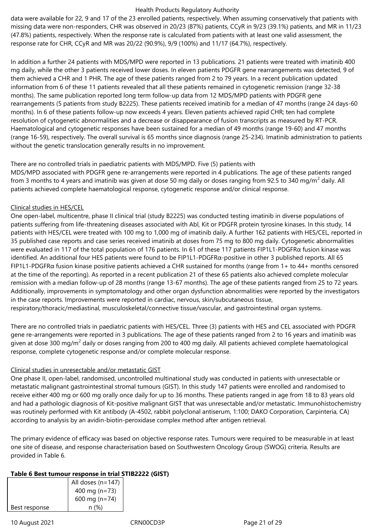data were available for 22, 9 and 17 of the 23 enrolled patients, respectively. When assuming conservatively that patients with missing data were non-responders, CHR was observed in 20/23 (87%) patients, CCyR in 9/23 (39.1%) patients, and MR in 11/23 (47.8%) patients, respectively. When the response rate is calculated from patients with at least one valid assessment, the response rate for CHR, CCyR and MR was 20/22 (90.9%), 9/9 (100%) and 11/17 (64.7%), respectively.

In addition a further 24 patients with MDS/MPD were reported in 13 publications. 21 patients were treated with imatinib 400 mg daily, while the other 3 patients received lower doses. In eleven patients PDGFR gene rearrangements was detected, 9 of them achieved a CHR and 1 PHR. The age of these patients ranged from 2 to 79 years. In a recent publication updated information from 6 of these 11 patients revealed that all these patients remained in cytogenetic remission (range 32-38 months). The same publication reported long term follow-up data from 12 MDS/MPD patients with PDGFR gene rearrangements (5 patients from study B2225). These patients received imatinib for a median of 47 months (range 24 days-60 months). In 6 of these patients follow-up now exceeds 4 years. Eleven patients achieved rapid CHR; ten had complete resolution of cytogenetic abnormalities and a decrease or disappearance of fusion transcripts as measured by RT-PCR. Haematological and cytogenetic responses have been sustained for a median of 49 months (range 19-60) and 47 months (range 16-59), respectively. The overall survival is 65 months since diagnosis (range 25-234). Imatinib administration to patients without the genetic translocation generally results in no improvement.

#### There are no controlled trials in paediatric patients with MDS/MPD. Five (5) patients with

MDS/MPD associated with PDGFR gene re-arrangements were reported in 4 publications. The age of these patients ranged from 3 months to 4 years and imatinib was given at dose 50 mg daily or doses ranging from 92.5 to 340 mg/m $^2$  daily. All patients achieved complete haematological response, cytogenetic response and/or clinical response.

## Clinical studies in HES/CEL

One open-label, multicentre, phase II clinical trial (study B2225) was conducted testing imatinib in diverse populations of patients suffering from life-threatening diseases associated with Abl, Kit or PDGFR protein tyrosine kinases. In this study, 14 patients with HES/CEL were treated with 100 mg to 1,000 mg of imatinib daily. A further 162 patients with HES/CEL, reported in 35 published case reports and case series received imatinib at doses from 75 mg to 800 mg daily. Cytogenetic abnormalities were evaluated in 117 of the total population of 176 patients. In 61 of these 117 patients FIP1L1-PDGFRα fusion kinase was identified. An additional four HES patients were found to be FIP1L1-PDGFRα-positive in other 3 published reports. All 65 FIP1L1-PDGFR $\alpha$  fusion kinase positive patients achieved a CHR sustained for months (range from 1+ to 44+ months censored at the time of the reporting). As reported in a recent publication 21 of these 65 patients also achieved complete molecular remission with a median follow-up of 28 months (range 13-67 months). The age of these patients ranged from 25 to 72 years. Additionally, improvements in symptomatology and other organ dysfunction abnormalities were reported by the investigators in the case reports. Improvements were reported in cardiac, nervous, skin/subcutaneous tissue, respiratory/thoracic/mediastinal, musculoskeletal/connective tissue/vascular, and gastrointestinal organ systems.

There are no controlled trials in paediatric patients with HES/CEL. Three (3) patients with HES and CEL associated with PDGFR gene re-arrangements were reported in 3 publications. The age of these patients ranged from 2 to 16 years and imatinib was given at dose 300 mg/m<sup>2</sup> daily or doses ranging from 200 to 400 mg daily. All patients achieved complete haematological response, complete cytogenetic response and/or complete molecular response.

#### Clinical studies in unresectable and/or metastatic GIST

One phase II, open-label, randomised, uncontrolled multinational study was conducted in patients with unresectable or metastatic malignant gastrointestinal stromal tumours (GIST). In this study 147 patients were enrolled and randomised to receive either 400 mg or 600 mg orally once daily for up to 36 months. These patients ranged in age from 18 to 83 years old and had a pathologic diagnosis of Kit-positive malignant GIST that was unresectable and/or metastatic. Immunohistochemistry was routinely performed with Kit antibody (A-4502, rabbit polyclonal antiserum, 1:100; DAKO Corporation, Carpinteria, CA) according to analysis by an avidin-biotin-peroxidase complex method after antigen retrieval.

The primary evidence of efficacy was based on objective response rates. Tumours were required to be measurable in at least one site of disease, and response characterisation based on Southwestern Oncology Group (SWOG) criteria. Results are provided in Table 6.

## **Table 6 Best tumour response in trial STIB2222 (GIST)**

|               | All doses (n=147) |
|---------------|-------------------|
|               | 400 mg $(n=73)$   |
|               | 600 mg ( $n=74$ ) |
| Best response | n (%)             |

10 August 2021 **CRNOOCD3P** CRNOOCD3P Page 21 of 29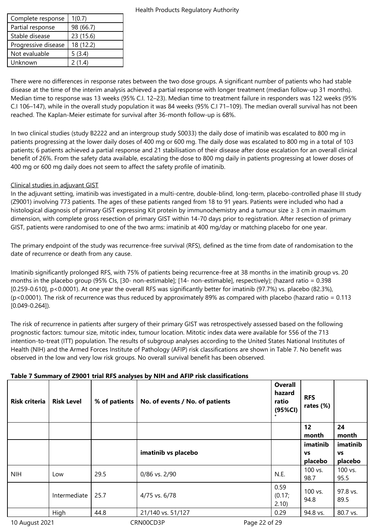| Complete response   | 1(0.7)    |
|---------------------|-----------|
| Partial response    | 98 (66.7) |
| Stable disease      | 23 (15.6) |
| Progressive disease | 18 (12.2) |
| Not evaluable       | 5(3.4)    |
| Unknown             | 2(1.4)    |

There were no differences in response rates between the two dose groups. A significant number of patients who had stable disease at the time of the interim analysis achieved a partial response with longer treatment (median follow-up 31 months). Median time to response was 13 weeks (95% C.I. 12–23). Median time to treatment failure in responders was 122 weeks (95% C.I 106–147), while in the overall study population it was 84 weeks (95% C.I 71–109). The median overall survival has not been reached. The Kaplan-Meier estimate for survival after 36-month follow-up is 68%.

In two clinical studies (study B2222 and an intergroup study S0033) the daily dose of imatinib was escalated to 800 mg in patients progressing at the lower daily doses of 400 mg or 600 mg. The daily dose was escalated to 800 mg in a total of 103 patients; 6 patients achieved a partial response and 21 stabilisation of their disease after dose escalation for an overall clinical benefit of 26%. From the safety data available, escalating the dose to 800 mg daily in patients progressing at lower doses of 400 mg or 600 mg daily does not seem to affect the safety profile of imatinib.

## Clinical studies in adjuvant GIST

In the adjuvant setting, imatinib was investigated in a multi-centre, double-blind, long-term, placebo-controlled phase III study (Z9001) involving 773 patients. The ages of these patients ranged from 18 to 91 years. Patients were included who had a histological diagnosis of primary GIST expressing Kit protein by immunochemistry and a tumour size ≥ 3 cm in maximum dimension, with complete gross resection of primary GIST within 14-70 days prior to registration. After resection of primary GIST, patients were randomised to one of the two arms: imatinib at 400 mg/day or matching placebo for one year.

The primary endpoint of the study was recurrence-free survival (RFS), defined as the time from date of randomisation to the date of recurrence or death from any cause.

Imatinib significantly prolonged RFS, with 75% of patients being recurrence-free at 38 months in the imatinib group vs. 20 months in the placebo group (95% CIs, [30- non-estimable]; [14- non-estimable], respectively); (hazard ratio = 0.398 [0.259-0.610], p<0.0001). At one year the overall RFS was significantly better for imatinib (97.7%) vs. placebo (82.3%), (p<0.0001). The risk of recurrence was thus reduced by approximately 89% as compared with placebo (hazard ratio = 0.113 [0.049-0.264]).

The risk of recurrence in patients after surgery of their primary GIST was retrospectively assessed based on the following prognostic factors: tumour size, mitotic index, tumour location. Mitotic index data were available for 556 of the 713 intention-to-treat (ITT) population. The results of subgroup analyses according to the United States National Institutes of Health (NIH) and the Armed Forces Institute of Pathology (AFIP) risk classifications are shown in Table 7. No benefit was observed in the low and very low risk groups. No overall survival benefit has been observed.

## **Table 7 Summary of Z9001 trial RFS analyses by NIH and AFIP risk classifications**

| <b>Risk criteria</b> | <b>Risk Level</b> | % of patients | No. of events / No. of patients | <b>Overall</b><br>hazard<br>ratio<br>(95%CI) | <b>RFS</b><br>rates (%)          |                                  |
|----------------------|-------------------|---------------|---------------------------------|----------------------------------------------|----------------------------------|----------------------------------|
|                      |                   |               |                                 |                                              | 12<br>month                      | 24<br>month                      |
|                      |                   |               | imatinib vs placebo             |                                              | imatinib<br><b>VS</b><br>placebo | imatinib<br><b>VS</b><br>placebo |
| <b>NIH</b>           | Low               | 29.5          | 0/86 vs. 2/90                   | N.E.                                         | 100 vs.<br>98.7                  | 100 vs.<br>95.5                  |
|                      | Intermediate      | 25.7          | 4/75 vs. 6/78                   | 0.59<br>(0.17;<br>2.10                       | 100 vs.<br>94.8                  | 97.8 vs.<br>89.5                 |
|                      | High              | 44.8          | 21/140 vs. 51/127               | 0.29                                         | 94.8 vs.                         | 80.7 vs.                         |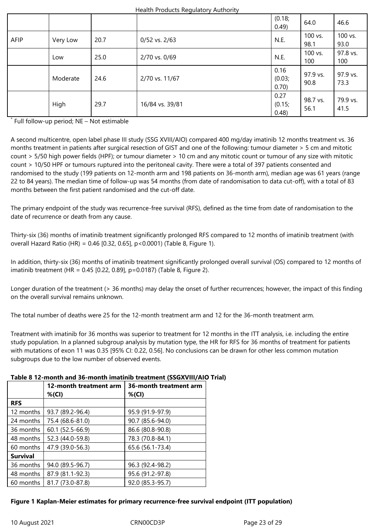|      |          |      |                   | (0.18;<br>0.49)          | 64.0             | 46.6             |
|------|----------|------|-------------------|--------------------------|------------------|------------------|
| AFIP | Very Low | 20.7 | $0/52$ vs. $2/63$ | N.E.                     | 100 vs.<br>98.1  | 100 vs.<br>93.0  |
|      | Low      | 25.0 | 2/70 vs. 0/69     | N.E.                     | 100 vs.<br>100   | 97.8 vs.<br>100  |
|      | Moderate | 24.6 | 2/70 vs. 11/67    | 0.16<br>(0.03;<br>0.70)  | 97.9 vs.<br>90.8 | 97.9 vs.<br>73.3 |
|      | High     | 29.7 | 16/84 vs. 39/81   | 0.27<br>(0.15;<br>(0.48) | 98.7 vs.<br>56.1 | 79.9 vs.<br>41.5 |

\* Full follow-up period; NE – Not estimable

A second multicentre, open label phase III study (SSG XVIII/AIO) compared 400 mg/day imatinib 12 months treatment vs. 36 months treatment in patients after surgical resection of GIST and one of the following: tumour diameter > 5 cm and mitotic count > 5/50 high power fields (HPF); or tumour diameter > 10 cm and any mitotic count or tumour of any size with mitotic count > 10/50 HPF or tumours ruptured into the peritoneal cavity. There were a total of 397 patients consented and randomised to the study (199 patients on 12-month arm and 198 patients on 36-month arm), median age was 61 years (range 22 to 84 years). The median time of follow-up was 54 months (from date of randomisation to data cut-off), with a total of 83 months between the first patient randomised and the cut-off date.

The primary endpoint of the study was recurrence-free survival (RFS), defined as the time from date of randomisation to the date of recurrence or death from any cause.

Thirty-six (36) months of imatinib treatment significantly prolonged RFS compared to 12 months of imatinib treatment (with overall Hazard Ratio (HR) = 0.46 [0.32, 0.65], p<0.0001) (Table 8, Figure 1).

In addition, thirty-six (36) months of imatinib treatment significantly prolonged overall survival (OS) compared to 12 months of imatinib treatment (HR = 0.45 [0.22, 0.89], p=0.0187) (Table 8, Figure 2).

Longer duration of the treatment (> 36 months) may delay the onset of further recurrences; however, the impact of this finding on the overall survival remains unknown.

The total number of deaths were 25 for the 12-month treatment arm and 12 for the 36-month treatment arm.

Treatment with imatinib for 36 months was superior to treatment for 12 months in the ITT analysis, i.e. including the entire study population. In a planned subgroup analysis by mutation type, the HR for RFS for 36 months of treatment for patients with mutations of exon 11 was 0.35 [95% CI: 0.22, 0.56]. No conclusions can be drawn for other less common mutation subgroups due to the low number of observed events.

| Table 8 12-month and 36-month imatinib treatment (SSGXVIII/AIO Trial) |  |  |
|-----------------------------------------------------------------------|--|--|
|-----------------------------------------------------------------------|--|--|

|                               | 12-month treatment arm<br>$%$ (CI) | 36-month treatment arm<br>$%$ (CI) |  |  |
|-------------------------------|------------------------------------|------------------------------------|--|--|
| <b>RFS</b>                    |                                    |                                    |  |  |
| 12 months                     | 93.7 (89.2-96.4)                   | 95.9 (91.9-97.9)                   |  |  |
| 75.4 (68.6-81.0)<br>24 months |                                    | 90.7 (85.6-94.0)                   |  |  |
| 36 months                     | 60.1 (52.5-66.9)                   | 86.6 (80.8-90.8)                   |  |  |
| 48 months                     | 52.3 (44.0-59.8)                   | 78.3 (70.8-84.1)                   |  |  |
| 60 months                     | 47.9 (39.0-56.3)                   | 65.6 (56.1-73.4)                   |  |  |
| <b>Survival</b>               |                                    |                                    |  |  |
| 36 months                     | 94.0 (89.5-96.7)                   | 96.3 (92.4-98.2)                   |  |  |
| 48 months                     | 87.9 (81.1-92.3)                   | 95.6 (91.2-97.8)                   |  |  |
| 60 months                     | 81.7 (73.0-87.8)                   | 92.0 (85.3-95.7)                   |  |  |

#### **Figure 1 Kaplan-Meier estimates for primary recurrence-free survival endpoint (ITT population)**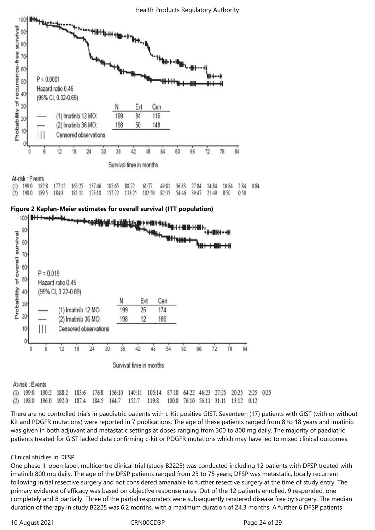

| MI-IDA. EVEIRS |  |                                                                                                                                                                                               |  |  |  |  |  |
|----------------|--|-----------------------------------------------------------------------------------------------------------------------------------------------------------------------------------------------|--|--|--|--|--|
|                |  | (1) 199:0 182:8 177:12 163:25 137:46 105:65 88:72 61:77 49:81 36:83 27:84 14:84 10:84 2:84 0:84<br>(2) 198:0 189:5 184:8 181:11 173:18 152:22 133:25 102:29 82:35 54:46 39:47 21:49 8:50 0:50 |  |  |  |  |  |
|                |  |                                                                                                                                                                                               |  |  |  |  |  |





#### At-risk: Events

156:10 140:11 87:18 64:22 46:23 27:25 20:25 2:25 0:25  $(1)$  199:0 190:2 188:2 183:6 176:8 105:14 192:0 187:4 184:5 164:7  $152:7$ 119:8 100:8 76:10 56:11 31:11 13:12 0:12  $(2)$  198:0 196:0

There are no controlled trials in paediatric patients with c-Kit positive GIST. Seventeen (17) patients with GIST (with or without Kit and PDGFR mutations) were reported in 7 publications. The age of these patients ranged from 8 to 18 years and imatinib was given in both adjuvant and metastatic settings at doses ranging from 300 to 800 mg daily. The majority of paediatric patients treated for GIST lacked data confirming c-kit or PDGFR mutations which may have led to mixed clinical outcomes.

#### Clinical studies in DFSP

One phase II, open label, multicentre clinical trial (study B2225) was conducted including 12 patients with DFSP treated with imatinib 800 mg daily. The age of the DFSP patients ranged from 23 to 75 years; DFSP was metastatic, locally recurrent following initial resective surgery and not considered amenable to further resective surgery at the time of study entry. The primary evidence of efficacy was based on objective response rates. Out of the 12 patients enrolled, 9 responded, one completely and 8 partially. Three of the partial responders were subsequently rendered disease free by surgery. The median duration of therapy in study B2225 was 6.2 months, with a maximum duration of 24.3 months. A further 6 DFSP patients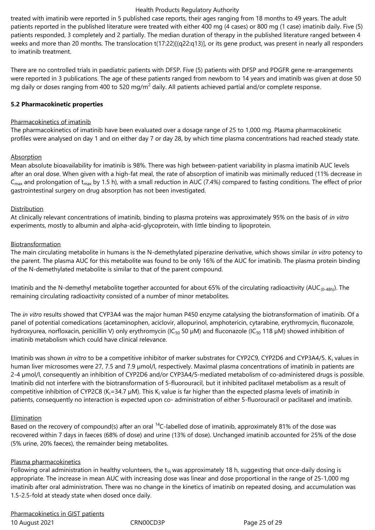treated with imatinib were reported in 5 published case reports, their ages ranging from 18 months to 49 years. The adult patients reported in the published literature were treated with either 400 mg (4 cases) or 800 mg (1 case) imatinib daily. Five (5) patients responded, 3 completely and 2 partially. The median duration of therapy in the published literature ranged between 4 weeks and more than 20 months. The translocation t(17:22)[(q22:q13)], or its gene product, was present in nearly all responders to imatinib treatment.

There are no controlled trials in paediatric patients with DFSP. Five (5) patients with DFSP and PDGFR gene re-arrangements were reported in 3 publications. The age of these patients ranged from newborn to 14 years and imatinib was given at dose 50 mg daily or doses ranging from 400 to 520 mg/m $^2$  daily. All patients achieved partial and/or complete response.

## **5.2 Pharmacokinetic properties**

## Pharmacokinetics of imatinib

The pharmacokinetics of imatinib have been evaluated over a dosage range of 25 to 1,000 mg. Plasma pharmacokinetic profiles were analysed on day 1 and on either day 7 or day 28, by which time plasma concentrations had reached steady state.

## Absorption

Mean absolute bioavailability for imatinib is 98%. There was high between-patient variability in plasma imatinib AUC levels after an oral dose. When given with a high-fat meal, the rate of absorption of imatinib was minimally reduced (11% decrease in  $C_{\text{max}}$  and prolongation of t<sub>max</sub> by 1.5 h), with a small reduction in AUC (7.4%) compared to fasting conditions. The effect of prior gastrointestinal surgery on drug absorption has not been investigated.

## **Distribution**

At clinically relevant concentrations of imatinib, binding to plasma proteins was approximately 95% on the basis of *in vitro* experiments, mostly to albumin and alpha-acid-glycoprotein, with little binding to lipoprotein.

## Biotransformation

The main circulating metabolite in humans is the N-demethylated piperazine derivative, which shows similar *in vitro* potency to the parent. The plasma AUC for this metabolite was found to be only 16% of the AUC for imatinib. The plasma protein binding of the N-demethylated metabolite is similar to that of the parent compound.

Imatinib and the N-demethyl metabolite together accounted for about 65% of the circulating radioactivity (AUC<sub>(0-48h)</sub>). The remaining circulating radioactivity consisted of a number of minor metabolites.

The *in vitro* results showed that CYP3A4 was the major human P450 enzyme catalysing the biotransformation of imatinib. Of a panel of potential comedications (acetaminophen, aciclovir, allopurinol, amphotericin, cytarabine, erythromycin, fluconazole, hydroxyurea, norfloxacin, penicillin V) only erythromycin (IC<sub>50</sub> 50  $\mu$ M) and fluconazole (IC<sub>50</sub> 118  $\mu$ M) showed inhibition of imatinib metabolism which could have clinical relevance.

lmatinib was shown *in vitro* to be a competitive inhibitor of marker substrates for CYP2C9, CYP2D6 and CYP3A4/5. K<sub>i</sub> values in human liver microsomes were 27, 7.5 and 7.9 µmol/l, respectively. Maximal plasma concentrations of imatinib in patients are 2-4 µmol/l, consequently an inhibition of CYP2D6 and/or CYP3A4/5-mediated metabolism of co-administered drugs is possible. Imatinib did not interfere with the biotransformation of 5-fluorouracil, but it inhibited paclitaxel metabolism as a result of competitive inhibition of CYP2C8 (K<sub>i</sub>=34.7 µM). This K<sub>i</sub> value is far higher than the expected plasma levels of imatinib in patients, consequently no interaction is expected upon co- administration of either 5-fluorouracil or paclitaxel and imatinib.

#### Elimination

Based on the recovery of compound(s) after an oral <sup>14</sup>C-labelled dose of imatinib, approximately 81% of the dose was recovered within 7 days in faeces (68% of dose) and urine (13% of dose). Unchanged imatinib accounted for 25% of the dose (5% urine, 20% faeces), the remainder being metabolites.

#### Plasma pharmacokinetics

Following oral administration in healthy volunteers, the t<sub>1/2</sub> was approximately 18 h, suggesting that once-daily dosing is appropriate. The increase in mean AUC with increasing dose was linear and dose proportional in the range of 25-1,000 mg imatinib after oral administration. There was no change in the kinetics of imatinib on repeated dosing, and accumulation was 1.5-2.5-fold at steady state when dosed once daily.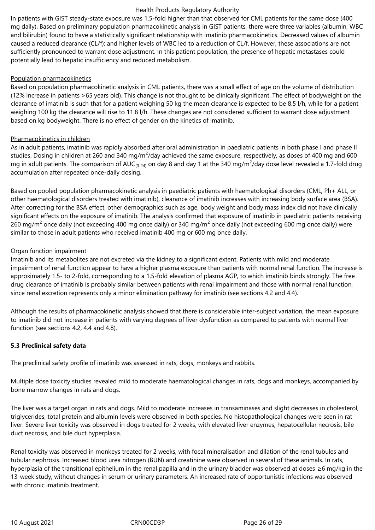In patients with GIST steady-state exposure was 1.5-fold higher than that observed for CML patients for the same dose (400 mg daily). Based on preliminary population pharmacokinetic analysis in GIST patients, there were three variables (albumin, WBC and bilirubin) found to have a statistically significant relationship with imatinib pharmacokinetics. Decreased values of albumin caused a reduced clearance (CL/f); and higher levels of WBC led to a reduction of CL/f. However, these associations are not sufficiently pronounced to warrant dose adjustment. In this patient population, the presence of hepatic metastases could potentially lead to hepatic insufficiency and reduced metabolism.

## Population pharmacokinetics

Based on population pharmacokinetic analysis in CML patients, there was a small effect of age on the volume of distribution (12% increase in patients >65 years old). This change is not thought to be clinically significant. The effect of bodyweight on the clearance of imatinib is such that for a patient weighing 50 kg the mean clearance is expected to be 8.5 l/h, while for a patient weighing 100 kg the clearance will rise to 11.8 l/h. These changes are not considered sufficient to warrant dose adjustment based on kg bodyweight. There is no effect of gender on the kinetics of imatinib.

## Pharmacokinetics in children

As in adult patients, imatinib was rapidly absorbed after oral administration in paediatric patients in both phase I and phase II studies. Dosing in children at 260 and 340 mg/m $^2$ /day achieved the same exposure, respectively, as doses of 400 mg and 600 mg in adult patients. The comparison of AUC<sub>(0-24)</sub> on day 8 and day 1 at the 340 mg/m<sup>2</sup>/day dose level revealed a 1.7-fold drug accumulation after repeated once-daily dosing.

Based on pooled population pharmacokinetic analysis in paediatric patients with haematological disorders (CML, Ph+ ALL, or other haematological disorders treated with imatinib), clearance of imatinib increases with increasing body surface area (BSA). After correcting for the BSA effect, other demographics such as age, body weight and body mass index did not have clinically significant effects on the exposure of imatinib. The analysis confirmed that exposure of imatinib in paediatric patients receiving 260 mg/m<sup>2</sup> once daily (not exceeding 400 mg once daily) or 340 mg/m<sup>2</sup> once daily (not exceeding 600 mg once daily) were similar to those in adult patients who received imatinib 400 mg or 600 mg once daily.

## Organ function impairment

Imatinib and its metabolites are not excreted via the kidney to a significant extent. Patients with mild and moderate impairment of renal function appear to have a higher plasma exposure than patients with normal renal function. The increase is approximately 1.5- to 2-fold, corresponding to a 1.5-fold elevation of plasma AGP, to which imatinib binds strongly. The free drug clearance of imatinib is probably similar between patients with renal impairment and those with normal renal function, since renal excretion represents only a minor elimination pathway for imatinib (see sections 4.2 and 4.4).

Although the results of pharmacokinetic analysis showed that there is considerable inter-subject variation, the mean exposure to imatinib did not increase in patients with varying degrees of liver dysfunction as compared to patients with normal liver function (see sections 4.2, 4.4 and 4.8).

## **5.3 Preclinical safety data**

The preclinical safety profile of imatinib was assessed in rats, dogs, monkeys and rabbits.

Multiple dose toxicity studies revealed mild to moderate haematological changes in rats, dogs and monkeys, accompanied by bone marrow changes in rats and dogs.

The liver was a target organ in rats and dogs. Mild to moderate increases in transaminases and slight decreases in cholesterol, triglycerides, total protein and albumin levels were observed in both species. No histopathological changes were seen in rat liver. Severe liver toxicity was observed in dogs treated for 2 weeks, with elevated liver enzymes, hepatocellular necrosis, bile duct necrosis, and bile duct hyperplasia.

Renal toxicity was observed in monkeys treated for 2 weeks, with focal mineralisation and dilation of the renal tubules and tubular nephrosis. Increased blood urea nitrogen (BUN) and creatinine were observed in several of these animals. In rats, hyperplasia of the transitional epithelium in the renal papilla and in the urinary bladder was observed at doses ≥6 mg/kg in the 13-week study, without changes in serum or urinary parameters. An increased rate of opportunistic infections was observed with chronic imatinib treatment.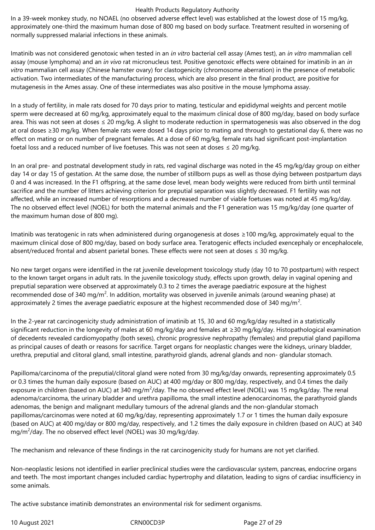In a 39-week monkey study, no NOAEL (no observed adverse effect level) was established at the lowest dose of 15 mg/kg, approximately one-third the maximum human dose of 800 mg based on body surface. Treatment resulted in worsening of normally suppressed malarial infections in these animals.

Imatinib was not considered genotoxic when tested in an *in vitro* bacterial cell assay (Ames test), an *in vitro* mammalian cell assay (mouse lymphoma) and an *in vivo* rat micronucleus test. Positive genotoxic effects were obtained for imatinib in an *in vitro* mammalian cell assay (Chinese hamster ovary) for clastogenicity (chromosome aberration) in the presence of metabolic activation. Two intermediates of the manufacturing process, which are also present in the final product, are positive for mutagenesis in the Ames assay. One of these intermediates was also positive in the mouse lymphoma assay.

In a study of fertility, in male rats dosed for 70 days prior to mating, testicular and epididymal weights and percent motile sperm were decreased at 60 mg/kg, approximately equal to the maximum clinical dose of 800 mg/day, based on body surface area. This was not seen at doses ≤ 20 mg/kg. A slight to moderate reduction in spermatogenesis was also observed in the dog at oral doses ≥30 mg/kg. When female rats were dosed 14 days prior to mating and through to gestational day 6, there was no effect on mating or on number of pregnant females. At a dose of 60 mg/kg, female rats had significant post-implantation foetal loss and a reduced number of live foetuses. This was not seen at doses  $\leq$  20 mg/kg.

In an oral pre- and postnatal development study in rats, red vaginal discharge was noted in the 45 mg/kg/day group on either day 14 or day 15 of gestation. At the same dose, the number of stillborn pups as well as those dying between postpartum days 0 and 4 was increased. In the F1 offspring, at the same dose level, mean body weights were reduced from birth until terminal sacrifice and the number of litters achieving criterion for preputial separation was slightly decreased. F1 fertility was not affected, while an increased number of resorptions and a decreased number of viable foetuses was noted at 45 mg/kg/day. The no observed effect level (NOEL) for both the maternal animals and the F1 generation was 15 mg/kg/day (one quarter of the maximum human dose of 800 mg).

Imatinib was teratogenic in rats when administered during organogenesis at doses ≥100 mg/kg, approximately equal to the maximum clinical dose of 800 mg/day, based on body surface area. Teratogenic effects included exencephaly or encephalocele, absent/reduced frontal and absent parietal bones. These effects were not seen at doses ≤ 30 mg/kg.

No new target organs were identified in the rat juvenile development toxicology study (day 10 to 70 postpartum) with respect to the known target organs in adult rats. In the juvenile toxicology study, effects upon growth, delay in vaginal opening and preputial separation were observed at approximately 0.3 to 2 times the average paediatric exposure at the highest recommended dose of 340 mg/m<sup>2</sup>. In addition, mortality was observed in juvenile animals (around weaning phase) at approximately 2 times the average paediatric exposure at the highest recommended dose of 340 mg/m<sup>2</sup>.

In the 2-year rat carcinogenicity study administration of imatinib at 15, 30 and 60 mg/kg/day resulted in a statistically significant reduction in the longevity of males at 60 mg/kg/day and females at ≥30 mg/kg/day. Histopathological examination of decedents revealed cardiomyopathy (both sexes), chronic progressive nephropathy (females) and preputial gland papilloma as principal causes of death or reasons for sacrifice. Target organs for neoplastic changes were the kidneys, urinary bladder, urethra, preputial and clitoral gland, small intestine, parathyroid glands, adrenal glands and non- glandular stomach.

Papilloma/carcinoma of the preputial/clitoral gland were noted from 30 mg/kg/day onwards, representing approximately 0.5 or 0.3 times the human daily exposure (based on AUC) at 400 mg/day or 800 mg/day, respectively, and 0.4 times the daily exposure in children (based on AUC) at 340 mg/m<sup>2</sup>/day. The no observed effect level (NOEL) was 15 mg/kg/day. The renal adenoma/carcinoma, the urinary bladder and urethra papilloma, the small intestine adenocarcinomas, the parathyroid glands adenomas, the benign and malignant medullary tumours of the adrenal glands and the non-glandular stomach papillomas/carcinomas were noted at 60 mg/kg/day, representing approximately 1.7 or 1 times the human daily exposure (based on AUC) at 400 mg/day or 800 mg/day, respectively, and 1.2 times the daily exposure in children (based on AUC) at 340 mg/m<sup>2</sup>/day. The no observed effect level (NOEL) was 30 mg/kg/day.

The mechanism and relevance of these findings in the rat carcinogenicity study for humans are not yet clarified.

Non-neoplastic lesions not identified in earlier preclinical studies were the cardiovascular system, pancreas, endocrine organs and teeth. The most important changes included cardiac hypertrophy and dilatation, leading to signs of cardiac insufficiency in some animals.

The active substance imatinib demonstrates an environmental risk for sediment organisms.

10 August 2021 **CRNOOCD3P** CRNOOCD3P Page 27 of 29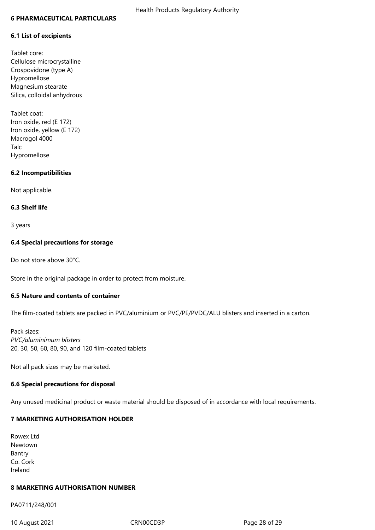#### **6 PHARMACEUTICAL PARTICULARS**

#### **6.1 List of excipients**

Tablet core: Cellulose microcrystalline Crospovidone (type A) Hypromellose Magnesium stearate Silica, colloidal anhydrous

Tablet coat: Iron oxide, red (E 172) Iron oxide, yellow (E 172) Macrogol 4000 Talc Hypromellose

#### **6.2 Incompatibilities**

Not applicable.

#### **6.3 Shelf life**

3 years

#### **6.4 Special precautions for storage**

Do not store above 30°C.

Store in the original package in order to protect from moisture.

#### **6.5 Nature and contents of container**

The film-coated tablets are packed in PVC/aluminium or PVC/PE/PVDC/ALU blisters and inserted in a carton.

Pack sizes: *PVC/aluminimum blisters* 20, 30, 50, 60, 80, 90, and 120 film-coated tablets

Not all pack sizes may be marketed.

#### **6.6 Special precautions for disposal**

Any unused medicinal product or waste material should be disposed of in accordance with local requirements.

## **7 MARKETING AUTHORISATION HOLDER**

| Rowex Ltd |
|-----------|
| Newtown   |
| Bantry    |
| Co. Cork  |
| Ireland   |

#### **8 MARKETING AUTHORISATION NUMBER**

PA0711/248/001

10 August 2021 CRN00CD3P CRNOOCD3P Page 28 of 29